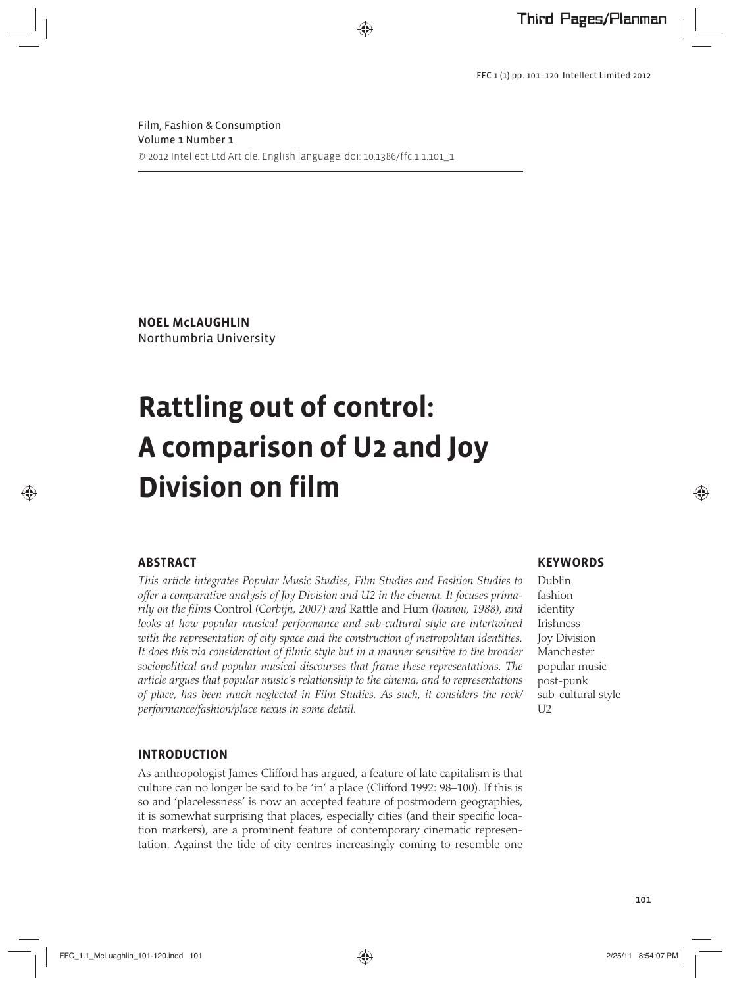**NOEL McLAUGHLIN** Northumbria University

# **Rattling out of control: A comparison of U2 and Joy Division on film**

# **ABSTRACT**

*This article integrates Popular Music Studies, Film Studies and Fashion Studies to offer a comparative analysis of Joy Division and U2 in the cinema. It focuses primarily on the films* Control *(Corbijn, 2007) and* Rattle and Hum *(Joanou, 1988), and looks at how popular musical performance and sub-cultural style are intertwined with the representation of city space and the construction of metropolitan identities. It does this via consideration of filmic style but in a manner sensitive to the broader sociopolitical and popular musical discourses that frame these representations. The article argues that popular music's relationship to the cinema, and to representations of place, has been much neglected in Film Studies. As such, it considers the rock/ performance/fashion/place nexus in some detail.* 

### **INTRODUCTION**

As anthropologist James Clifford has argued, a feature of late capitalism is that culture can no longer be said to be 'in' a place (Clifford 1992: 98–100). If this is so and 'placelessness' is now an accepted feature of postmodern geographies, it is somewhat surprising that places, especially cities (and their specific location markers), are a prominent feature of contemporary cinematic representation. Against the tide of city-centres increasingly coming to resemble one

## **KEYWORDS**

Dublin fashion identity Irishness Joy Division Manchester popular music post-punk sub-cultural style U2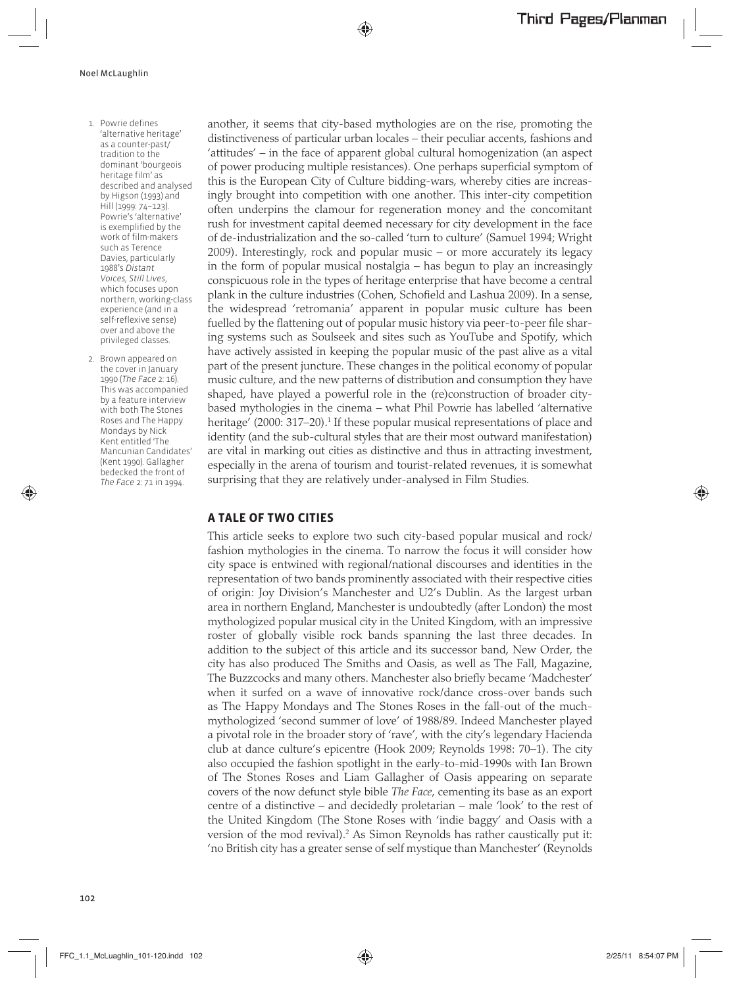- 1. Powrie defines 'alternative heritage' as a counter-past/ tradition to the dominant 'bourgeois heritage film' as described and analysed by Higson (1993) and Hill (1999: 74–123). Powrie's 'alternative' is exemplified by the work of film-makers such as Terence Davies, particularly 1988's *Distant Voices, Still Lives*, which focuses upon northern, working-class experience (and in a self-reflexive sense) over and above the privileged classes.
- 2. Brown appeared on the cover in January 1990 (*The Face* 2: 16). This was accompanied by a feature interview with both The Stones Roses and The Happy Mondays by Nick Kent entitled 'The Mancunian Candidates' (Kent 1990). Gallagher bedecked the front of *The Face* 2: 71 in 1994.

another, it seems that city-based mythologies are on the rise, promoting the distinctiveness of particular urban locales – their peculiar accents, fashions and 'attitudes' – in the face of apparent global cultural homogenization (an aspect of power producing multiple resistances). One perhaps superficial symptom of this is the European City of Culture bidding-wars, whereby cities are increasingly brought into competition with one another. This inter-city competition often underpins the clamour for regeneration money and the concomitant rush for investment capital deemed necessary for city development in the face of de-industrialization and the so-called 'turn to culture' (Samuel 1994; Wright 2009). Interestingly, rock and popular music – or more accurately its legacy in the form of popular musical nostalgia – has begun to play an increasingly conspicuous role in the types of heritage enterprise that have become a central plank in the culture industries (Cohen, Schofield and Lashua 2009). In a sense, the widespread 'retromania' apparent in popular music culture has been fuelled by the flattening out of popular music history via peer-to-peer file sharing systems such as Soulseek and sites such as YouTube and Spotify, which have actively assisted in keeping the popular music of the past alive as a vital part of the present juncture. These changes in the political economy of popular music culture, and the new patterns of distribution and consumption they have shaped, have played a powerful role in the (re)construction of broader citybased mythologies in the cinema – what Phil Powrie has labelled 'alternative heritage' (2000: 317–20).<sup>1</sup> If these popular musical representations of place and identity (and the sub-cultural styles that are their most outward manifestation) are vital in marking out cities as distinctive and thus in attracting investment, especially in the arena of tourism and tourist-related revenues, it is somewhat surprising that they are relatively under-analysed in Film Studies.

## **A TALE OF TWO CITIES**

This article seeks to explore two such city-based popular musical and rock/ fashion mythologies in the cinema. To narrow the focus it will consider how city space is entwined with regional/national discourses and identities in the representation of two bands prominently associated with their respective cities of origin: Joy Division's Manchester and U2's Dublin. As the largest urban area in northern England, Manchester is undoubtedly (after London) the most mythologized popular musical city in the United Kingdom, with an impressive roster of globally visible rock bands spanning the last three decades. In addition to the subject of this article and its successor band, New Order, the city has also produced The Smiths and Oasis, as well as The Fall, Magazine, The Buzzcocks and many others. Manchester also briefly became 'Madchester' when it surfed on a wave of innovative rock/dance cross-over bands such as The Happy Mondays and The Stones Roses in the fall-out of the muchmythologized 'second summer of love' of 1988/89. Indeed Manchester played a pivotal role in the broader story of 'rave', with the city's legendary Hacienda club at dance culture's epicentre (Hook 2009; Reynolds 1998: 70–1). The city also occupied the fashion spotlight in the early-to-mid-1990s with Ian Brown of The Stones Roses and Liam Gallagher of Oasis appearing on separate covers of the now defunct style bible *The Face*, cementing its base as an export centre of a distinctive – and decidedly proletarian – male 'look' to the rest of the United Kingdom (The Stone Roses with 'indie baggy' and Oasis with a version of the mod revival).<sup>2</sup> As Simon Reynolds has rather caustically put it: 'no British city has a greater sense of self mystique than Manchester' (Reynolds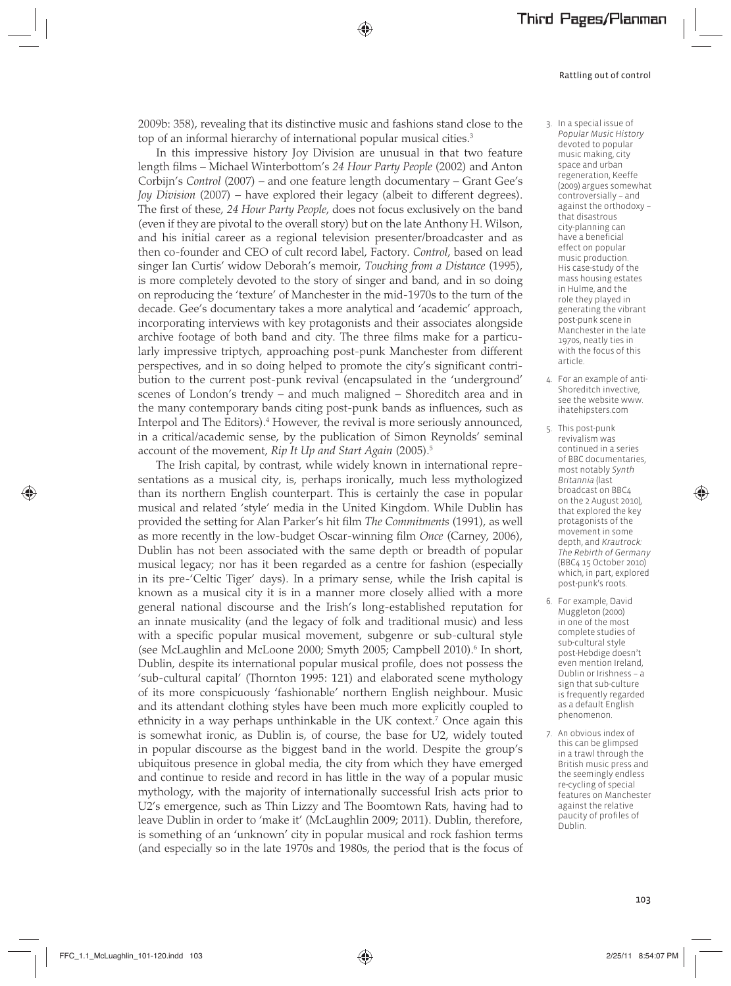2009b: 358), revealing that its distinctive music and fashions stand close to the top of an informal hierarchy of international popular musical cities.<sup>3</sup>

In this impressive history Joy Division are unusual in that two feature length films – Michael Winterbottom's *24 Hour Party People* (2002) and Anton Corbijn's *Control* (2007) – and one feature length documentary – Grant Gee's *Joy Division* (2007) – have explored their legacy (albeit to different degrees). The first of these, *24 Hour Party People*, does not focus exclusively on the band (even if they are pivotal to the overall story) but on the late Anthony H. Wilson, and his initial career as a regional television presenter/broadcaster and as then co-founder and CEO of cult record label, Factory. *Control*, based on lead singer Ian Curtis' widow Deborah's memoir, *Touching from a Distance* (1995), is more completely devoted to the story of singer and band, and in so doing on reproducing the 'texture' of Manchester in the mid-1970s to the turn of the decade. Gee's documentary takes a more analytical and 'academic' approach, incorporating interviews with key protagonists and their associates alongside archive footage of both band and city. The three films make for a particularly impressive triptych, approaching post-punk Manchester from different perspectives, and in so doing helped to promote the city's significant contribution to the current post-punk revival (encapsulated in the 'underground' scenes of London's trendy – and much maligned – Shoreditch area and in the many contemporary bands citing post-punk bands as influences, such as Interpol and The Editors).<sup>4</sup> However, the revival is more seriously announced, in a critical/academic sense, by the publication of Simon Reynolds' seminal account of the movement, *Rip It Up and Start Again* (2005).5

The Irish capital, by contrast, while widely known in international representations as a musical city, is, perhaps ironically, much less mythologized than its northern English counterpart. This is certainly the case in popular musical and related 'style' media in the United Kingdom. While Dublin has provided the setting for Alan Parker's hit film *The Commitments* (1991), as well as more recently in the low-budget Oscar-winning film *Once* (Carney, 2006), Dublin has not been associated with the same depth or breadth of popular musical legacy; nor has it been regarded as a centre for fashion (especially in its pre-'Celtic Tiger' days). In a primary sense, while the Irish capital is known as a musical city it is in a manner more closely allied with a more general national discourse and the Irish's long-established reputation for an innate musicality (and the legacy of folk and traditional music) and less with a specific popular musical movement, subgenre or sub-cultural style (see McLaughlin and McLoone 2000; Smyth 2005; Campbell 2010).<sup>6</sup> In short, Dublin, despite its international popular musical profile, does not possess the 'sub-cultural capital' (Thornton 1995: 121) and elaborated scene mythology of its more conspicuously 'fashionable' northern English neighbour. Music and its attendant clothing styles have been much more explicitly coupled to ethnicity in a way perhaps unthinkable in the UK context.7 Once again this is somewhat ironic, as Dublin is, of course, the base for U2, widely touted in popular discourse as the biggest band in the world. Despite the group's ubiquitous presence in global media, the city from which they have emerged and continue to reside and record in has little in the way of a popular music mythology, with the majority of internationally successful Irish acts prior to U2's emergence, such as Thin Lizzy and The Boomtown Rats, having had to leave Dublin in order to 'make it' (McLaughlin 2009; 2011). Dublin, therefore, is something of an 'unknown' city in popular musical and rock fashion terms (and especially so in the late 1970s and 1980s, the period that is the focus of

- 3. In a special issue of *Popular Music History*  devoted to popular music making, city space and urban regeneration, Keeffe (2009) argues somewhat controversially – and against the orthodoxy – that disastrous city-planning can have a beneficial effect on popular music production. His case-study of the mass housing estates in Hulme, and the role they played in generating the vibrant post-punk scene in Manchester in the late 1970s, neatly ties in with the focus of this article.
- 4. For an example of anti-Shoreditch invective, see the website www. ihatehipsters.com
- 5. This post-punk revivalism was continued in a series of BBC documentaries, most notably *Synth Britannia* (last broadcast on BBC4 on the 2 August 2010), that explored the key protagonists of the movement in some depth, and *Krautrock: The Rebirth of Germany* (BBC4 15 October 2010) which, in part, explored post-punk's roots.
- 6. For example, David Muggleton (2000) in one of the most complete studies of sub-cultural style post-Hebdige doesn't even mention Ireland, Dublin or Irishness – a sign that sub-culture is frequently regarded as a default English phenomenon.
- 7. An obvious index of this can be glimpsed in a trawl through the British music press and the seemingly endless re-cycling of special features on Manchester against the relative paucity of profiles of Dublin.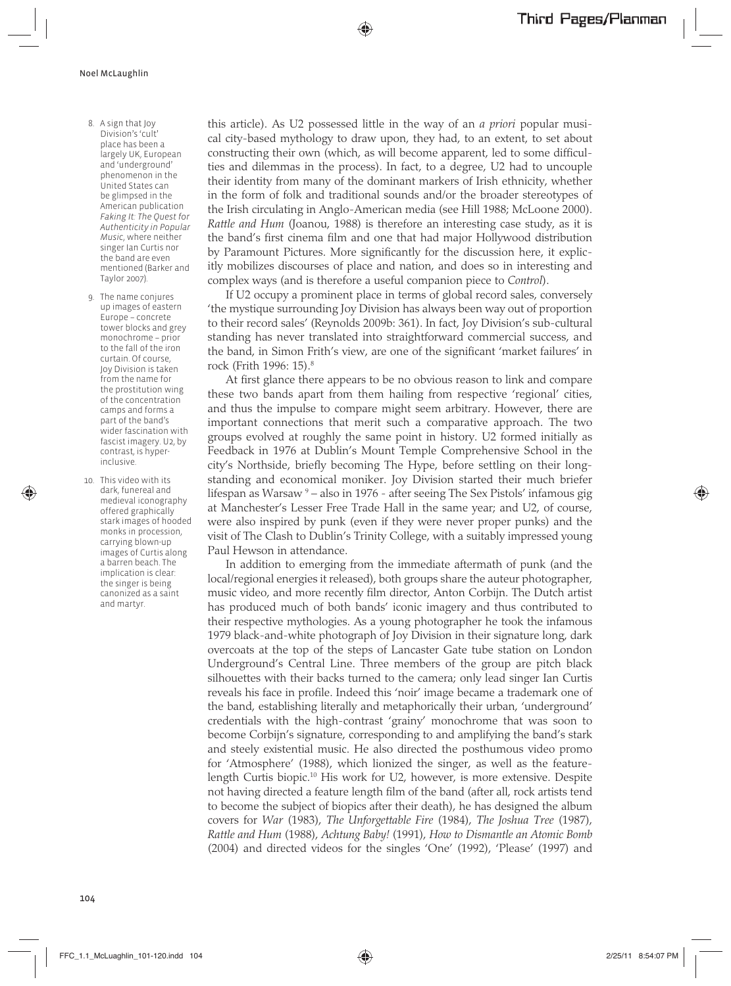- 8. A sign that Joy Division's 'cult' place has been a largely UK, European and 'underground' phenomenon in the United States can be glimpsed in the American publication *Faking It: The Quest for Authenticity in Popular Music*, where neither singer Ian Curtis nor the band are even mentioned (Barker and Taylor 2007).
- 9. The name conjures up images of eastern Europe – concrete tower blocks and grey monochrome – prior to the fall of the iron curtain. Of course, Joy Division is taken from the name for the prostitution wing of the concentration camps and forms a part of the band's wider fascination with fascist imagery. U2, by contrast, is hyperinclusive.
- 10. This video with its dark, funereal and medieval iconography offered graphically stark images of hooded monks in procession, carrying blown-up images of Curtis along a barren beach. The implication is clear: the singer is being canonized as a saint and martyr.

this article). As U2 possessed little in the way of an *a priori* popular musical city-based mythology to draw upon, they had, to an extent, to set about constructing their own (which, as will become apparent, led to some difficulties and dilemmas in the process). In fact, to a degree, U2 had to uncouple their identity from many of the dominant markers of Irish ethnicity, whether in the form of folk and traditional sounds and/or the broader stereotypes of the Irish circulating in Anglo-American media (see Hill 1988; McLoone 2000). *Rattle and Hum* (Joanou, 1988) is therefore an interesting case study, as it is the band's first cinema film and one that had major Hollywood distribution by Paramount Pictures. More significantly for the discussion here, it explicitly mobilizes discourses of place and nation, and does so in interesting and complex ways (and is therefore a useful companion piece to *Control*).

If U2 occupy a prominent place in terms of global record sales, conversely 'the mystique surrounding Joy Division has always been way out of proportion to their record sales' (Reynolds 2009b: 361). In fact, Joy Division's sub-cultural standing has never translated into straightforward commercial success, and the band, in Simon Frith's view, are one of the significant 'market failures' in rock (Frith 1996: 15).8

At first glance there appears to be no obvious reason to link and compare these two bands apart from them hailing from respective 'regional' cities, and thus the impulse to compare might seem arbitrary. However, there are important connections that merit such a comparative approach. The two groups evolved at roughly the same point in history. U2 formed initially as Feedback in 1976 at Dublin's Mount Temple Comprehensive School in the city's Northside, briefly becoming The Hype, before settling on their longstanding and economical moniker. Joy Division started their much briefer lifespan as Warsaw 9 – also in 1976 - after seeing The Sex Pistols' infamous gig at Manchester's Lesser Free Trade Hall in the same year; and U2, of course, were also inspired by punk (even if they were never proper punks) and the visit of The Clash to Dublin's Trinity College, with a suitably impressed young Paul Hewson in attendance.

In addition to emerging from the immediate aftermath of punk (and the local/regional energies it released), both groups share the auteur photographer, music video, and more recently film director, Anton Corbijn. The Dutch artist has produced much of both bands' iconic imagery and thus contributed to their respective mythologies. As a young photographer he took the infamous 1979 black-and-white photograph of Joy Division in their signature long, dark overcoats at the top of the steps of Lancaster Gate tube station on London Underground's Central Line. Three members of the group are pitch black silhouettes with their backs turned to the camera; only lead singer Ian Curtis reveals his face in profile. Indeed this 'noir' image became a trademark one of the band, establishing literally and metaphorically their urban, 'underground' credentials with the high-contrast 'grainy' monochrome that was soon to become Corbijn's signature, corresponding to and amplifying the band's stark and steely existential music. He also directed the posthumous video promo for 'Atmosphere' (1988), which lionized the singer, as well as the featurelength Curtis biopic.10 His work for U2, however, is more extensive. Despite not having directed a feature length film of the band (after all, rock artists tend to become the subject of biopics after their death), he has designed the album covers for *War* (1983), *The Unforgettable Fire* (1984), *The Joshua Tree* (1987), *Rattle and Hum* (1988), *Achtung Baby!* (1991), *How to Dismantle an Atomic Bomb* (2004) and directed videos for the singles 'One' (1992), 'Please' (1997) and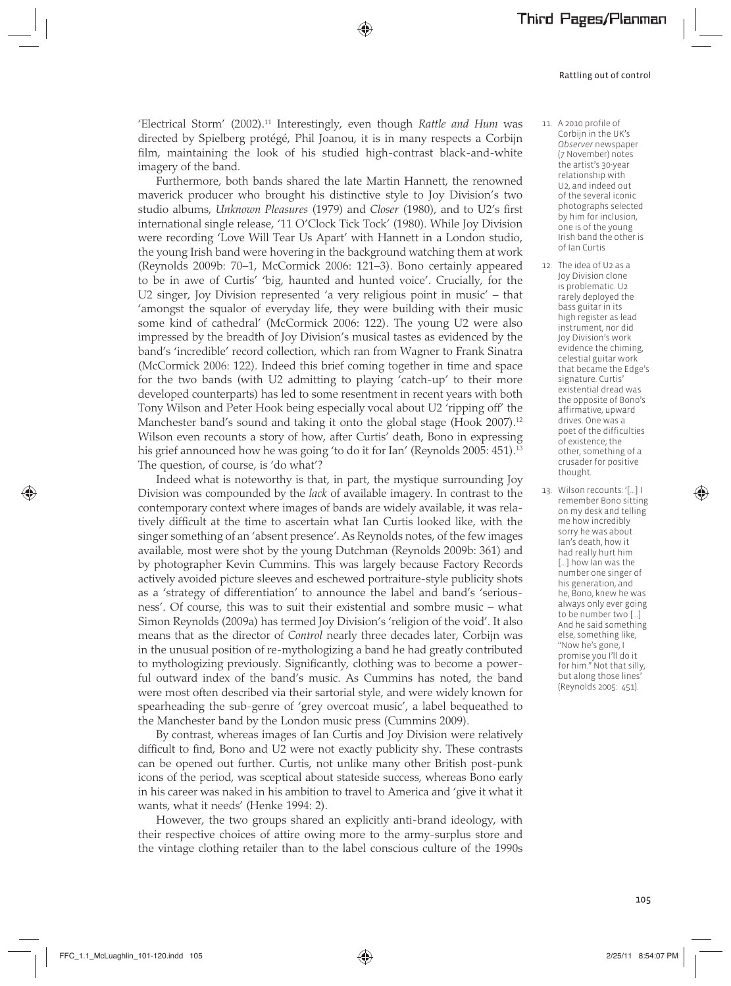'Electrical Storm' (2002).11 Interestingly, even though *Rattle and Hum* was directed by Spielberg protégé, Phil Joanou, it is in many respects a Corbijn film, maintaining the look of his studied high-contrast black-and-white imagery of the band.

Furthermore, both bands shared the late Martin Hannett, the renowned maverick producer who brought his distinctive style to Joy Division's two studio albums, *Unknown Pleasures* (1979) and *Closer* (1980), and to U2's first international single release, '11 O'Clock Tick Tock' (1980). While Joy Division were recording 'Love Will Tear Us Apart' with Hannett in a London studio, the young Irish band were hovering in the background watching them at work (Reynolds 2009b: 70–1, McCormick 2006: 121–3). Bono certainly appeared to be in awe of Curtis' 'big, haunted and hunted voice'. Crucially, for the U2 singer, Joy Division represented 'a very religious point in music' – that 'amongst the squalor of everyday life, they were building with their music some kind of cathedral' (McCormick 2006: 122). The young U2 were also impressed by the breadth of Joy Division's musical tastes as evidenced by the band's 'incredible' record collection, which ran from Wagner to Frank Sinatra (McCormick 2006: 122). Indeed this brief coming together in time and space for the two bands (with U2 admitting to playing 'catch-up' to their more developed counterparts) has led to some resentment in recent years with both Tony Wilson and Peter Hook being especially vocal about U2 'ripping off' the Manchester band's sound and taking it onto the global stage (Hook 2007).<sup>12</sup> Wilson even recounts a story of how, after Curtis' death, Bono in expressing his grief announced how he was going 'to do it for Ian' (Reynolds 2005: 451).<sup>13</sup> The question, of course, is 'do what'?

Indeed what is noteworthy is that, in part, the mystique surrounding Joy Division was compounded by the *lack* of available imagery. In contrast to the contemporary context where images of bands are widely available, it was relatively difficult at the time to ascertain what Ian Curtis looked like, with the singer something of an 'absent presence'. As Reynolds notes, of the few images available, most were shot by the young Dutchman (Reynolds 2009b: 361) and by photographer Kevin Cummins. This was largely because Factory Records actively avoided picture sleeves and eschewed portraiture-style publicity shots as a 'strategy of differentiation' to announce the label and band's 'seriousness'. Of course, this was to suit their existential and sombre music – what Simon Reynolds (2009a) has termed Joy Division's 'religion of the void'. It also means that as the director of *Control* nearly three decades later, Corbijn was in the unusual position of re-mythologizing a band he had greatly contributed to mythologizing previously. Significantly, clothing was to become a powerful outward index of the band's music. As Cummins has noted, the band were most often described via their sartorial style, and were widely known for spearheading the sub-genre of 'grey overcoat music', a label bequeathed to the Manchester band by the London music press (Cummins 2009).

By contrast, whereas images of Ian Curtis and Joy Division were relatively difficult to find, Bono and U2 were not exactly publicity shy. These contrasts can be opened out further. Curtis, not unlike many other British post-punk icons of the period, was sceptical about stateside success, whereas Bono early in his career was naked in his ambition to travel to America and 'give it what it wants, what it needs' (Henke 1994: 2).

However, the two groups shared an explicitly anti-brand ideology, with their respective choices of attire owing more to the army-surplus store and the vintage clothing retailer than to the label conscious culture of the 1990s

- 11. A 2010 profile of Corbijn in the UK's *Observer* newspaper (7 November) notes the artist's 30-year relationship with U2, and indeed out of the several iconic photographs selected by him for inclusion, one is of the young Irish band the other is of Ian Curtis
- 12. The idea of U2 as a Joy Division clone is problematic. U2 rarely deployed the bass guitar in its high register as lead instrument, nor did Joy Division's work evidence the chiming, celestial guitar work that became the Edge's signature. Curtis' existential dread was the opposite of Bono's affirmative, upward drives. One was a poet of the difficulties of existence; the other, something of a crusader for positive thought.
- 13. Wilson recounts: '[…] I remember Bono sitting on my desk and telling me how incredibly sorry he was about Ian's death, how it had really hurt him [...] how lan was the number one singer of his generation, and he, Bono, knew he was always only ever going to be number two […] And he said something else, something like, "Now he's gone, I promise you I'll do it for him." Not that silly, but along those lines' (Reynolds 2005: 451).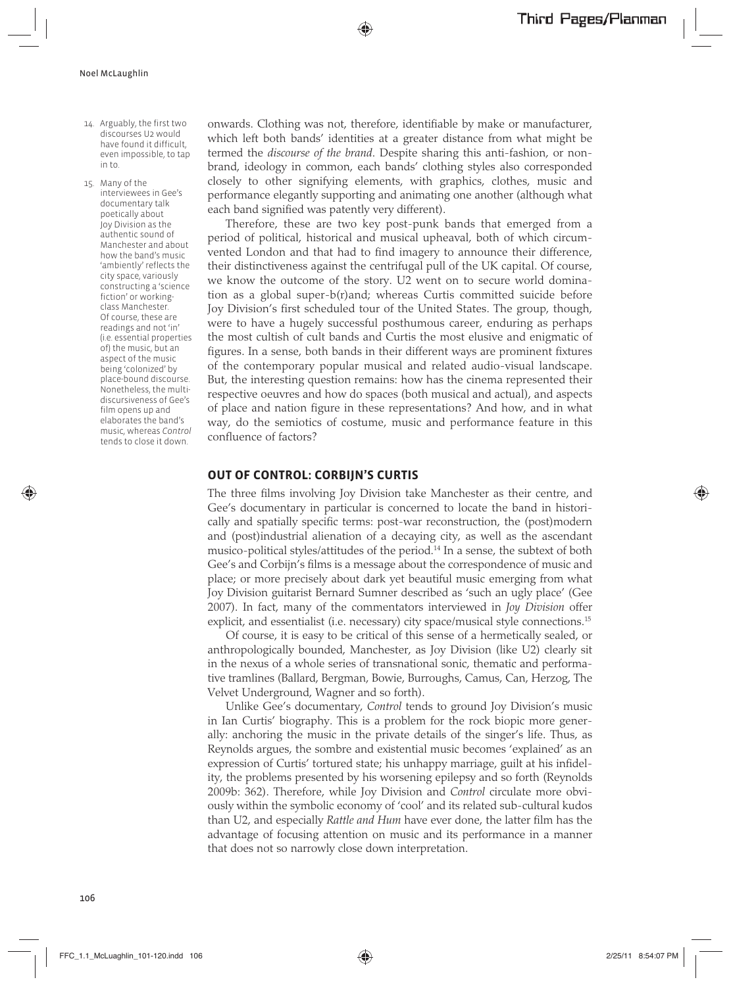- 14. Arguably, the first two discourses U2 would have found it difficult, even impossible, to tap in to.
- 15. Many of the interviewees in Gee's documentary talk poetically about Joy Division as the authentic sound of Manchester and about how the band's music 'ambiently' reflects the city space, variously constructing a 'science fiction' or workingclass Manchester. Of course, these are readings and not 'in' (i.e. essential properties of) the music, but an aspect of the music being 'colonized' by place-bound discourse. Nonetheless, the multidiscursiveness of Gee's film opens up and elaborates the band's music, whereas *Control*  tends to close it down.

onwards. Clothing was not, therefore, identifiable by make or manufacturer, which left both bands' identities at a greater distance from what might be termed the *discourse of the brand*. Despite sharing this anti-fashion, or nonbrand, ideology in common, each bands' clothing styles also corresponded closely to other signifying elements, with graphics, clothes, music and performance elegantly supporting and animating one another (although what each band signified was patently very different).

Therefore, these are two key post-punk bands that emerged from a period of political, historical and musical upheaval, both of which circumvented London and that had to find imagery to announce their difference, their distinctiveness against the centrifugal pull of the UK capital. Of course, we know the outcome of the story. U2 went on to secure world domination as a global super-b(r)and; whereas Curtis committed suicide before Joy Division's first scheduled tour of the United States. The group, though, were to have a hugely successful posthumous career, enduring as perhaps the most cultish of cult bands and Curtis the most elusive and enigmatic of figures. In a sense, both bands in their different ways are prominent fixtures of the contemporary popular musical and related audio-visual landscape. But, the interesting question remains: how has the cinema represented their respective oeuvres and how do spaces (both musical and actual), and aspects of place and nation figure in these representations? And how, and in what way, do the semiotics of costume, music and performance feature in this confluence of factors?

#### **OUT OF CONTROL: CORBIJN'S CURTIS**

The three films involving Joy Division take Manchester as their centre, and Gee's documentary in particular is concerned to locate the band in historically and spatially specific terms: post-war reconstruction, the (post)modern and (post)industrial alienation of a decaying city, as well as the ascendant musico-political styles/attitudes of the period.14 In a sense, the subtext of both Gee's and Corbijn's films is a message about the correspondence of music and place; or more precisely about dark yet beautiful music emerging from what Joy Division guitarist Bernard Sumner described as 'such an ugly place' (Gee 2007). In fact, many of the commentators interviewed in *Joy Division* offer explicit, and essentialist (i.e. necessary) city space/musical style connections.<sup>15</sup>

Of course, it is easy to be critical of this sense of a hermetically sealed, or anthropologically bounded, Manchester, as Joy Division (like U2) clearly sit in the nexus of a whole series of transnational sonic, thematic and performative tramlines (Ballard, Bergman, Bowie, Burroughs, Camus, Can, Herzog, The Velvet Underground, Wagner and so forth).

Unlike Gee's documentary, *Control* tends to ground Joy Division's music in Ian Curtis' biography. This is a problem for the rock biopic more generally: anchoring the music in the private details of the singer's life. Thus, as Reynolds argues, the sombre and existential music becomes 'explained' as an expression of Curtis' tortured state; his unhappy marriage, guilt at his infidelity, the problems presented by his worsening epilepsy and so forth (Reynolds 2009b: 362). Therefore, while Joy Division and *Control* circulate more obviously within the symbolic economy of 'cool' and its related sub-cultural kudos than U2, and especially *Rattle and Hum* have ever done, the latter film has the advantage of focusing attention on music and its performance in a manner that does not so narrowly close down interpretation.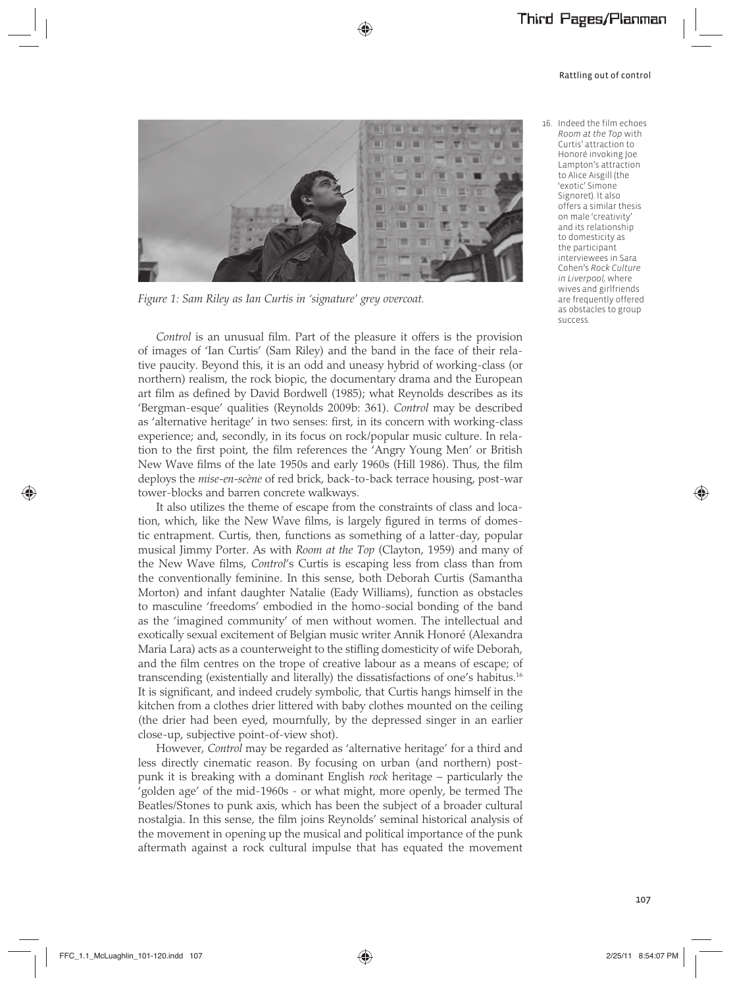

*Figure 1: Sam Riley as Ian Curtis in 'signature' grey overcoat.* 

*Control* is an unusual film. Part of the pleasure it offers is the provision of images of 'Ian Curtis' (Sam Riley) and the band in the face of their relative paucity. Beyond this, it is an odd and uneasy hybrid of working-class (or northern) realism, the rock biopic, the documentary drama and the European art film as defined by David Bordwell (1985); what Reynolds describes as its 'Bergman-esque' qualities (Reynolds 2009b: 361). *Control* may be described as 'alternative heritage' in two senses: first, in its concern with working-class experience; and, secondly, in its focus on rock/popular music culture. In relation to the first point, the film references the 'Angry Young Men' or British New Wave films of the late 1950s and early 1960s (Hill 1986). Thus, the film deploys the *mise-en-scène* of red brick, back-to-back terrace housing, post-war tower-blocks and barren concrete walkways.

It also utilizes the theme of escape from the constraints of class and location, which, like the New Wave films, is largely figured in terms of domestic entrapment. Curtis, then, functions as something of a latter-day, popular musical Jimmy Porter. As with *Room at the Top* (Clayton, 1959) and many of the New Wave films, *Control*'s Curtis is escaping less from class than from the conventionally feminine. In this sense, both Deborah Curtis (Samantha Morton) and infant daughter Natalie (Eady Williams), function as obstacles to masculine 'freedoms' embodied in the homo-social bonding of the band as the 'imagined community' of men without women. The intellectual and exotically sexual excitement of Belgian music writer Annik Honoré (Alexandra Maria Lara) acts as a counterweight to the stifling domesticity of wife Deborah, and the film centres on the trope of creative labour as a means of escape; of transcending (existentially and literally) the dissatisfactions of one's habitus.16 It is significant, and indeed crudely symbolic, that Curtis hangs himself in the kitchen from a clothes drier littered with baby clothes mounted on the ceiling (the drier had been eyed, mournfully, by the depressed singer in an earlier close-up, subjective point-of-view shot).

However, *Control* may be regarded as 'alternative heritage' for a third and less directly cinematic reason. By focusing on urban (and northern) postpunk it is breaking with a dominant English *rock* heritage – particularly the 'golden age' of the mid-1960s - or what might, more openly, be termed The Beatles/Stones to punk axis, which has been the subject of a broader cultural nostalgia. In this sense, the film joins Reynolds' seminal historical analysis of the movement in opening up the musical and political importance of the punk aftermath against a rock cultural impulse that has equated the movement  16. Indeed the film echoes *Room at the Top* with Curtis' attraction to Honoré invoking Joe Lampton's attraction to Alice Aisgill (the 'exotic' Simone Signoret). It also offers a similar thesis on male 'creativity' and its relationship to domesticity as the participant interviewees in Sara Cohen's *Rock Culture in Liverpool,* where wives and girlfriends are frequently offered as obstacles to group success.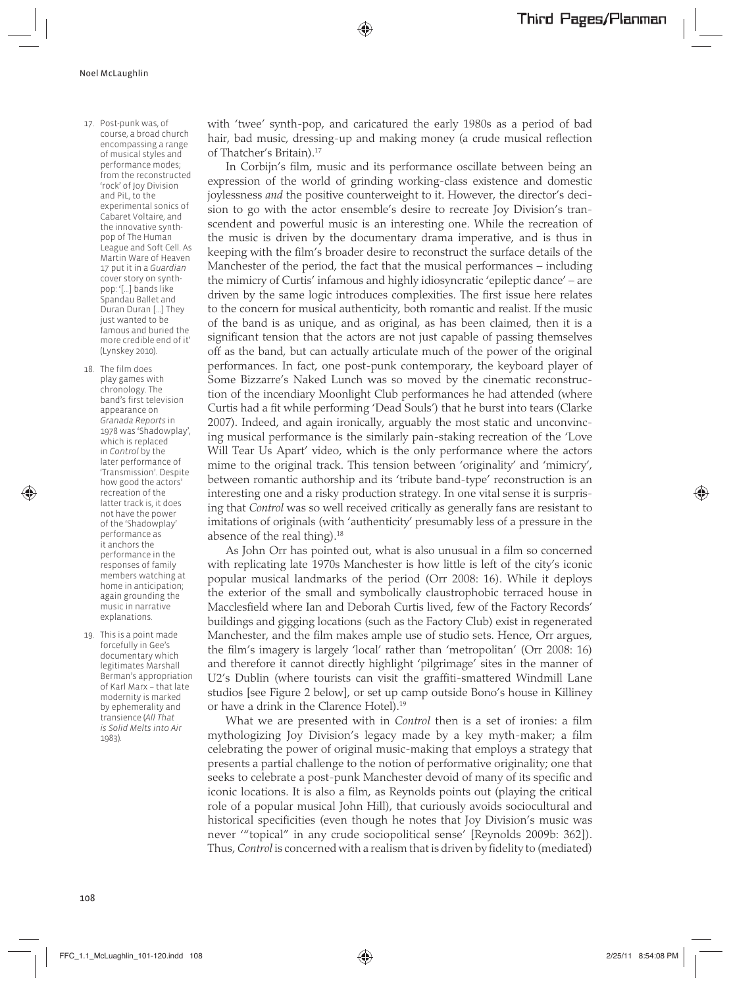- 17. Post-punk was, of course, a broad church encompassing a range of musical styles and performance modes; from the reconstructed 'rock' of Joy Division and PiL, to the experimental sonics of Cabaret Voltaire, and the innovative synthpop of The Human League and Soft Cell. As Martin Ware of Heaven 17 put it in a *Guardian* cover story on synthpop: '[...] bands like Spandau Ballet and Duran Duran [...] They just wanted to be famous and buried the more credible end of it' (Lynskey 2010).
- 18. The film does play games with chronology. The band's first television appearance on *Granada Reports* in 1978 was 'Shadowplay', which is replaced in *Control* by the later performance of 'Transmission'. Despite how good the actors' recreation of the latter track is, it does not have the power of the 'Shadowplay' performance as it anchors the performance in the responses of family members watching at home in anticipation; again grounding the music in narrative explanations.
- 19. This is a point made forcefully in Gee's documentary which legitimates Marshall Berman's appropriation of Karl Marx – that late modernity is marked by ephemerality and transience (*All That is Solid Melts into Air*  1983).

with 'twee' synth-pop, and caricatured the early 1980s as a period of bad hair, bad music, dressing-up and making money (a crude musical reflection of Thatcher's Britain).17

In Corbijn's film, music and its performance oscillate between being an expression of the world of grinding working-class existence and domestic joylessness *and* the positive counterweight to it. However, the director's decision to go with the actor ensemble's desire to recreate Joy Division's transcendent and powerful music is an interesting one. While the recreation of the music is driven by the documentary drama imperative, and is thus in keeping with the film's broader desire to reconstruct the surface details of the Manchester of the period, the fact that the musical performances – including the mimicry of Curtis' infamous and highly idiosyncratic 'epileptic dance' – are driven by the same logic introduces complexities. The first issue here relates to the concern for musical authenticity, both romantic and realist. If the music of the band is as unique, and as original, as has been claimed, then it is a significant tension that the actors are not just capable of passing themselves off as the band, but can actually articulate much of the power of the original performances. In fact, one post-punk contemporary, the keyboard player of Some Bizzarre's Naked Lunch was so moved by the cinematic reconstruction of the incendiary Moonlight Club performances he had attended (where Curtis had a fit while performing 'Dead Souls') that he burst into tears (Clarke 2007). Indeed, and again ironically, arguably the most static and unconvincing musical performance is the similarly pain-staking recreation of the 'Love Will Tear Us Apart' video, which is the only performance where the actors mime to the original track. This tension between 'originality' and 'mimicry', between romantic authorship and its 'tribute band-type' reconstruction is an interesting one and a risky production strategy. In one vital sense it is surprising that *Control* was so well received critically as generally fans are resistant to imitations of originals (with 'authenticity' presumably less of a pressure in the absence of the real thing).<sup>18</sup>

As John Orr has pointed out, what is also unusual in a film so concerned with replicating late 1970s Manchester is how little is left of the city's iconic popular musical landmarks of the period (Orr 2008: 16). While it deploys the exterior of the small and symbolically claustrophobic terraced house in Macclesfield where Ian and Deborah Curtis lived, few of the Factory Records' buildings and gigging locations (such as the Factory Club) exist in regenerated Manchester, and the film makes ample use of studio sets. Hence, Orr argues, the film's imagery is largely 'local' rather than 'metropolitan' (Orr 2008: 16) and therefore it cannot directly highlight 'pilgrimage' sites in the manner of U2's Dublin (where tourists can visit the graffiti-smattered Windmill Lane studios [see Figure 2 below], or set up camp outside Bono's house in Killiney or have a drink in the Clarence Hotel).<sup>19</sup>

What we are presented with in *Control* then is a set of ironies: a film mythologizing Joy Division's legacy made by a key myth-maker; a film celebrating the power of original music-making that employs a strategy that presents a partial challenge to the notion of performative originality; one that seeks to celebrate a post-punk Manchester devoid of many of its specific and iconic locations. It is also a film, as Reynolds points out (playing the critical role of a popular musical John Hill), that curiously avoids sociocultural and historical specificities (even though he notes that Joy Division's music was never '"topical" in any crude sociopolitical sense' [Reynolds 2009b: 362]). Thus, *Control* is concerned with a realism that is driven by fidelity to (mediated)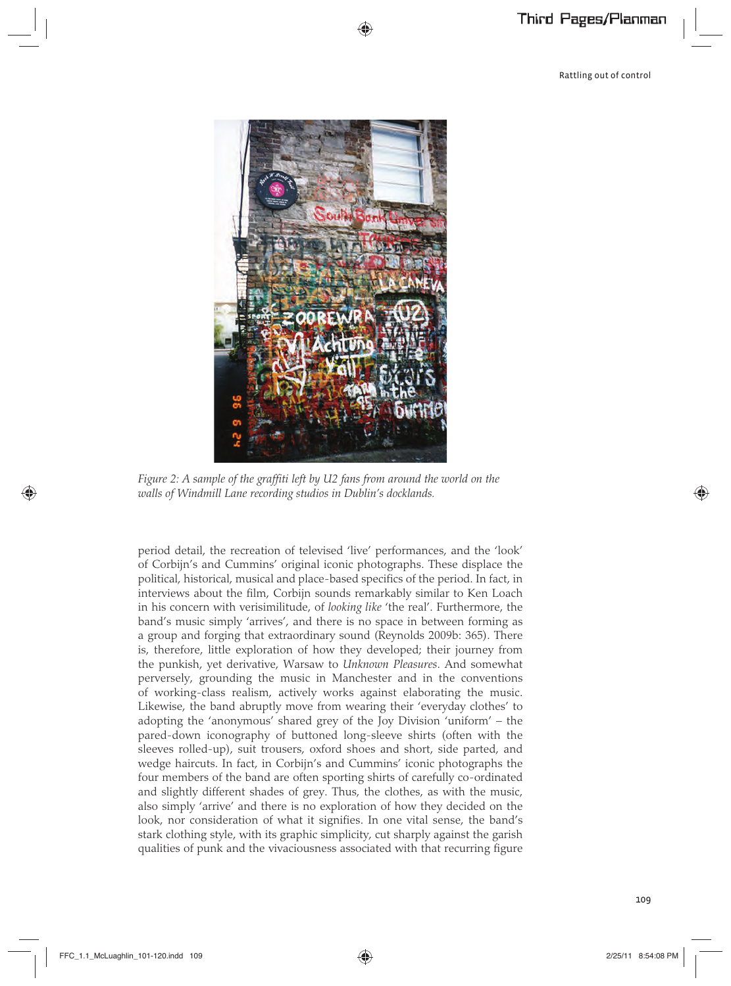

*Figure 2: A sample of the graffiti left by U2 fans from around the world on the walls of Windmill Lane recording studios in Dublin's docklands.*

period detail, the recreation of televised 'live' performances, and the 'look' of Corbijn's and Cummins' original iconic photographs. These displace the political, historical, musical and place-based specifics of the period. In fact, in interviews about the film, Corbijn sounds remarkably similar to Ken Loach in his concern with verisimilitude, of *looking like* 'the real'. Furthermore, the band's music simply 'arrives', and there is no space in between forming as a group and forging that extraordinary sound (Reynolds 2009b: 365). There is, therefore, little exploration of how they developed; their journey from the punkish, yet derivative, Warsaw to *Unknown Pleasures*. And somewhat perversely, grounding the music in Manchester and in the conventions of working-class realism, actively works against elaborating the music. Likewise, the band abruptly move from wearing their 'everyday clothes' to adopting the 'anonymous' shared grey of the Joy Division 'uniform' – the pared-down iconography of buttoned long-sleeve shirts (often with the sleeves rolled-up), suit trousers, oxford shoes and short, side parted, and wedge haircuts. In fact, in Corbijn's and Cummins' iconic photographs the four members of the band are often sporting shirts of carefully co-ordinated and slightly different shades of grey. Thus, the clothes, as with the music, also simply 'arrive' and there is no exploration of how they decided on the look, nor consideration of what it signifies. In one vital sense, the band's stark clothing style, with its graphic simplicity, cut sharply against the garish qualities of punk and the vivaciousness associated with that recurring figure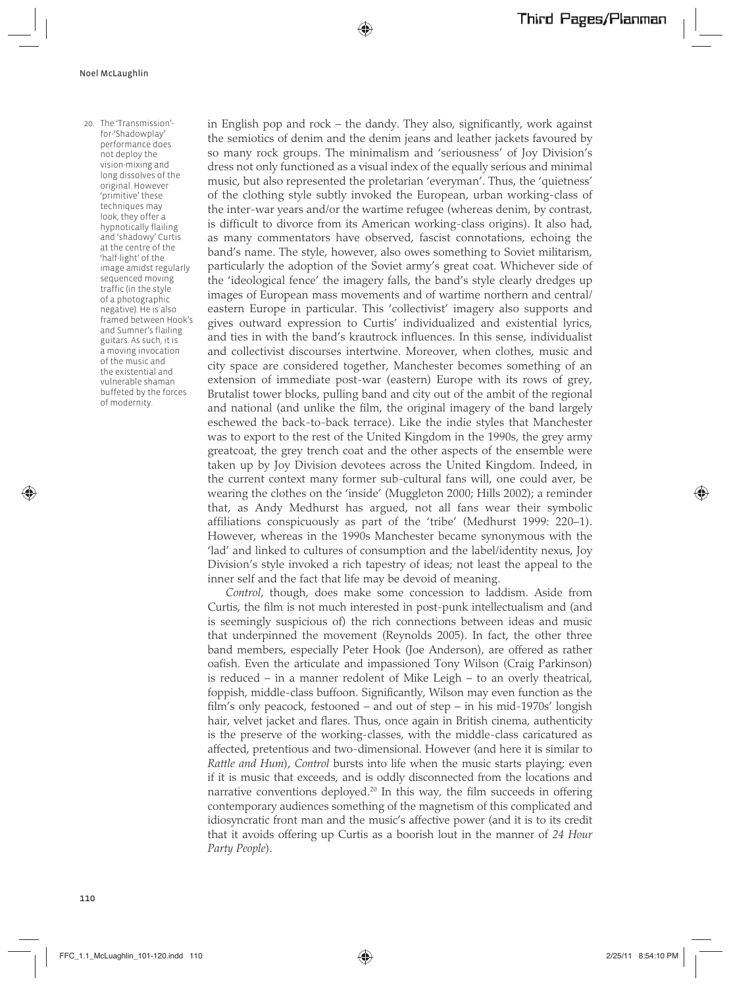20. The 'Transmission' for-'Shadowplay' performance does not deploy the vision-mixing and long dissolves of the original. However 'primitive' these techniques may look, they offer a hypnotically flailing and 'shadowy' Curtis at the centre of the 'half-light' of the image amidst regularly sequenced moving traffic (in the style of a photographic negative). He is also framed between Hook's and Sumner's flailing guitars. As such, it is a moving invocation of the music and the existential and vulnerable shaman buffeted by the forces of modernity.

in English pop and rock – the dandy. They also, significantly, work against the semiotics of denim and the denim jeans and leather jackets favoured by so many rock groups. The minimalism and 'seriousness' of Joy Division's dress not only functioned as a visual index of the equally serious and minimal music, but also represented the proletarian 'everyman'. Thus, the 'quietness' of the clothing style subtly invoked the European, urban working-class of the inter-war years and/or the wartime refugee (whereas denim, by contrast, is difficult to divorce from its American working-class origins). It also had, as many commentators have observed, fascist connotations, echoing the band's name. The style, however, also owes something to Soviet militarism, particularly the adoption of the Soviet army's great coat. Whichever side of the 'ideological fence' the imagery falls, the band's style clearly dredges up images of European mass movements and of wartime northern and central/ eastern Europe in particular. This 'collectivist' imagery also supports and gives outward expression to Curtis' individualized and existential lyrics, and ties in with the band's krautrock influences. In this sense, individualist and collectivist discourses intertwine. Moreover, when clothes, music and city space are considered together, Manchester becomes something of an extension of immediate post-war (eastern) Europe with its rows of grey, Brutalist tower blocks, pulling band and city out of the ambit of the regional and national (and unlike the film, the original imagery of the band largely eschewed the back-to-back terrace). Like the indie styles that Manchester was to export to the rest of the United Kingdom in the 1990s, the grey army greatcoat, the grey trench coat and the other aspects of the ensemble were taken up by Joy Division devotees across the United Kingdom. Indeed, in the current context many former sub-cultural fans will, one could aver, be wearing the clothes on the 'inside' (Muggleton 2000; Hills 2002); a reminder that, as Andy Medhurst has argued, not all fans wear their symbolic affiliations conspicuously as part of the 'tribe' (Medhurst 1999: 220–1). However, whereas in the 1990s Manchester became synonymous with the 'lad' and linked to cultures of consumption and the label/identity nexus, Joy Division's style invoked a rich tapestry of ideas; not least the appeal to the inner self and the fact that life may be devoid of meaning.

*Control*, though, does make some concession to laddism. Aside from Curtis, the film is not much interested in post-punk intellectualism and (and is seemingly suspicious of) the rich connections between ideas and music that underpinned the movement (Reynolds 2005). In fact, the other three band members, especially Peter Hook (Joe Anderson), are offered as rather oafish. Even the articulate and impassioned Tony Wilson (Craig Parkinson) is reduced – in a manner redolent of Mike Leigh – to an overly theatrical, foppish, middle-class buffoon. Significantly, Wilson may even function as the film's only peacock, festooned – and out of step – in his mid-1970s' longish hair, velvet jacket and flares. Thus, once again in British cinema, authenticity is the preserve of the working-classes, with the middle-class caricatured as affected, pretentious and two-dimensional. However (and here it is similar to *Rattle and Hum*), *Control* bursts into life when the music starts playing; even if it is music that exceeds, and is oddly disconnected from the locations and narrative conventions deployed.<sup>20</sup> In this way, the film succeeds in offering contemporary audiences something of the magnetism of this complicated and idiosyncratic front man and the music's affective power (and it is to its credit that it avoids offering up Curtis as a boorish lout in the manner of *24 Hour Party People*).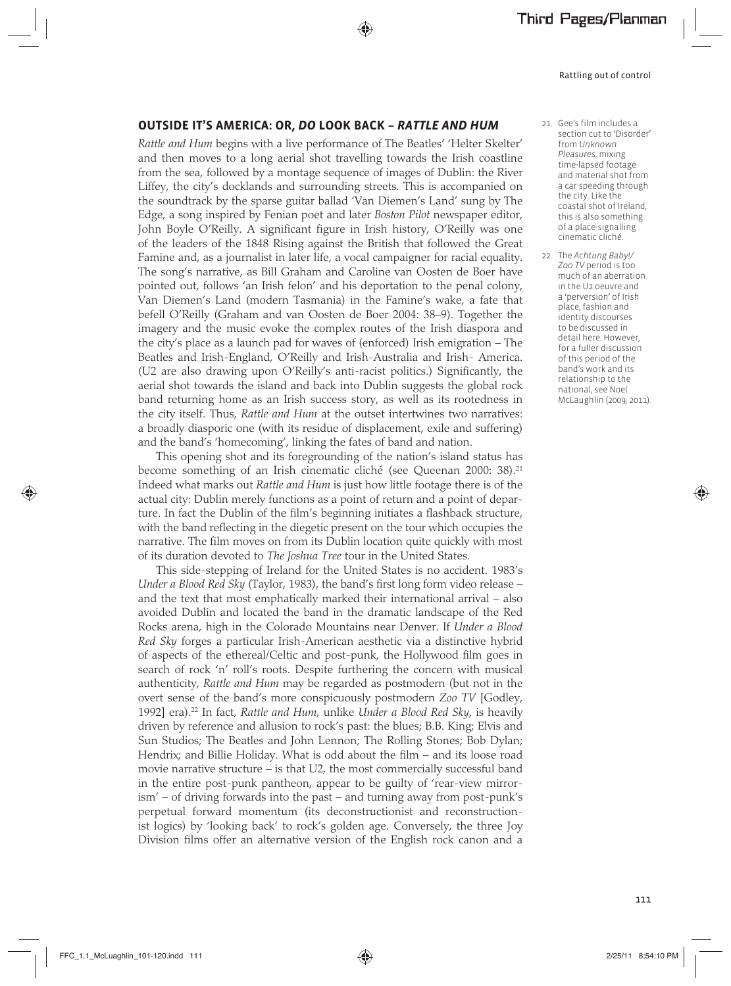### **OUTSIDE IT'S AMERICA: OR,** *DO* **LOOK BACK –** *RATTLE AND HUM*

*Rattle and Hum* begins with a live performance of The Beatles' 'Helter Skelter' and then moves to a long aerial shot travelling towards the Irish coastline from the sea, followed by a montage sequence of images of Dublin: the River Liffey, the city's docklands and surrounding streets. This is accompanied on the soundtrack by the sparse guitar ballad 'Van Diemen's Land' sung by The Edge, a song inspired by Fenian poet and later *Boston Pilot* newspaper editor, John Boyle O'Reilly. A significant figure in Irish history, O'Reilly was one of the leaders of the 1848 Rising against the British that followed the Great Famine and, as a journalist in later life, a vocal campaigner for racial equality. The song's narrative, as Bill Graham and Caroline van Oosten de Boer have pointed out, follows 'an Irish felon' and his deportation to the penal colony, Van Diemen's Land (modern Tasmania) in the Famine's wake, a fate that befell O'Reilly (Graham and van Oosten de Boer 2004: 38–9). Together the imagery and the music evoke the complex routes of the Irish diaspora and the city's place as a launch pad for waves of (enforced) Irish emigration – The Beatles and Irish-England, O'Reilly and Irish-Australia and Irish- America. (U2 are also drawing upon O'Reilly's anti-racist politics.) Significantly, the aerial shot towards the island and back into Dublin suggests the global rock band returning home as an Irish success story, as well as its rootedness in the city itself. Thus, *Rattle and Hum* at the outset intertwines two narratives: a broadly diasporic one (with its residue of displacement, exile and suffering) and the band's 'homecoming', linking the fates of band and nation.

This opening shot and its foregrounding of the nation's island status has become something of an Irish cinematic cliché (see Queenan 2000: 38).21 Indeed what marks out *Rattle and Hum* is just how little footage there is of the actual city: Dublin merely functions as a point of return and a point of departure. In fact the Dublin of the film's beginning initiates a flashback structure, with the band reflecting in the diegetic present on the tour which occupies the narrative. The film moves on from its Dublin location quite quickly with most of its duration devoted to *The Joshua Tree* tour in the United States.

This side-stepping of Ireland for the United States is no accident. 1983's *Under a Blood Red Sky* (Taylor, 1983), the band's first long form video release – and the text that most emphatically marked their international arrival – also avoided Dublin and located the band in the dramatic landscape of the Red Rocks arena, high in the Colorado Mountains near Denver. If *Under a Blood Red Sky* forges a particular Irish-American aesthetic via a distinctive hybrid of aspects of the ethereal/Celtic and post-punk, the Hollywood film goes in search of rock 'n' roll's roots. Despite furthering the concern with musical authenticity, *Rattle and Hum* may be regarded as postmodern (but not in the overt sense of the band's more conspicuously postmodern *Zoo TV* [Godley, 1992] era).22 In fact, *Rattle and Hum*, unlike *Under a Blood Red Sky*, is heavily driven by reference and allusion to rock's past: the blues; B.B. King; Elvis and Sun Studios; The Beatles and John Lennon; The Rolling Stones; Bob Dylan; Hendrix; and Billie Holiday. What is odd about the film – and its loose road movie narrative structure – is that U2, the most commercially successful band in the entire post-punk pantheon, appear to be guilty of 'rear-view mirrorism' – of driving forwards into the past – and turning away from post-punk's perpetual forward momentum (its deconstructionist and reconstructionist logics) by 'looking back' to rock's golden age. Conversely, the three Joy Division films offer an alternative version of the English rock canon and a

- 21. Gee's film includes a section cut to 'Disorder' from *Unknown Pleasures*, mixing time-lapsed footage and material shot from a car speeding through the city. Like the coastal shot of Ireland, this is also something of a place-signalling cinematic cliché.
- 22. The *Achtung Baby!/ Zoo TV* period is too much of an aberration in the U2 oeuvre and a 'perversion' of Irish place, fashion and identity discourses to be discussed in detail here. However, for a fuller discussion of this period of the band's work and its relationship to the national, see Noel McLaughlin (2009; 2011).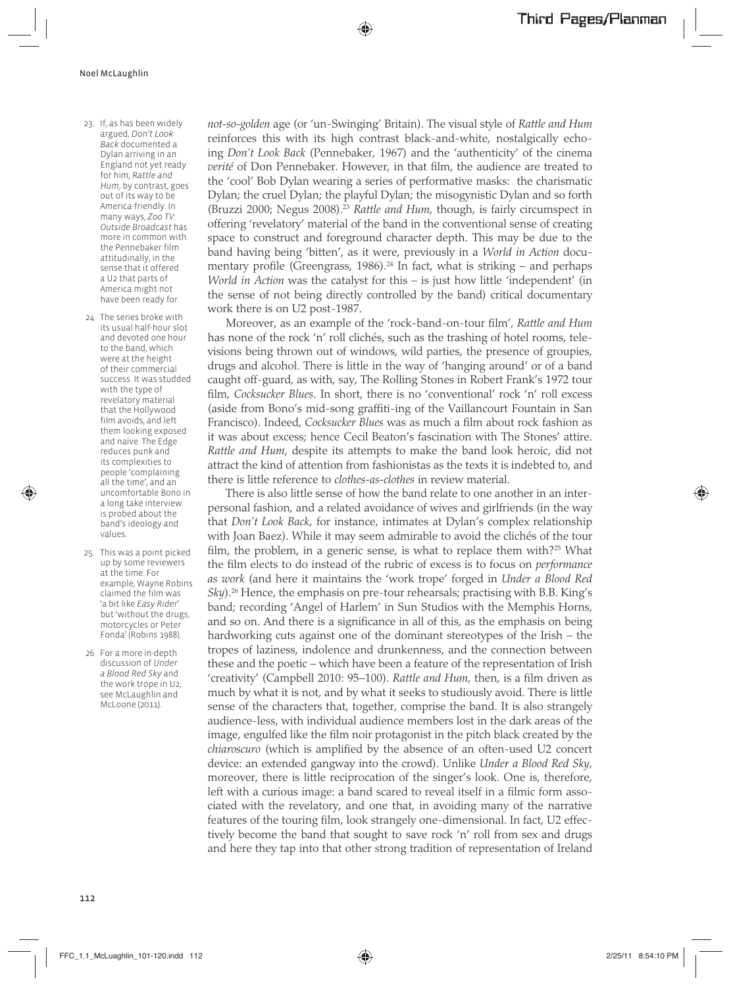- 23. If, as has been widely argued, *Don't Look Back* documented a Dylan arriving in an England not yet ready for him; *Rattle and Hum*, by contrast, goes out of its way to be America-friendly. In many ways, *Zoo TV: Outside Broadcast* has more in common with the Pennebaker film attitudinally, in the sense that it offered a U2 that parts of America might not have been ready for.
- 24 The series broke with its usual half-hour slot and devoted one hour to the band, which were at the height of their commercial success. It was studded with the type of revelatory material that the Hollywood film avoids, and left them looking exposed and naïve. The Edge reduces punk and its complexities to people 'complaining all the time', and an uncomfortable Bono in a long take interview is probed about the band's ideology and values.
- 25. This was a point picked up by some reviewers at the time. For example, Wayne Robins claimed the film was 'a bit like *Easy Rider*' but 'without the drugs, motorcycles or Peter Fonda' (Robins 1988).
- 26 For a more in-depth discussion of *Under a Blood Red Sky* and the work trope in U2, see McLaughlin and McLoone (2011).

*not-so-golden* age (or 'un-Swinging' Britain). The visual style of *Rattle and Hum* reinforces this with its high contrast black-and-white, nostalgically echoing *Don't Look Back* (Pennebaker, 1967) and the 'authenticity' of the cinema *verité* of Don Pennebaker. However, in that film, the audience are treated to the 'cool' Bob Dylan wearing a series of performative masks: the charismatic Dylan; the cruel Dylan; the playful Dylan; the misogynistic Dylan and so forth (Bruzzi 2000; Negus 2008).23 *Rattle and Hum*, though, is fairly circumspect in offering 'revelatory' material of the band in the conventional sense of creating space to construct and foreground character depth. This may be due to the band having being 'bitten', as it were, previously in a *World in Action* documentary profile (Greengrass, 1986).<sup>24</sup> In fact, what is striking – and perhaps *World in Action* was the catalyst for this – is just how little 'independent' (in the sense of not being directly controlled by the band) critical documentary work there is on U2 post-1987.

Moreover, as an example of the 'rock-band-on-tour film', *Rattle and Hum* has none of the rock 'n' roll clichés, such as the trashing of hotel rooms, televisions being thrown out of windows, wild parties, the presence of groupies, drugs and alcohol. There is little in the way of 'hanging around' or of a band caught off-guard, as with, say, The Rolling Stones in Robert Frank's 1972 tour film, *Cocksucker Blues*. In short, there is no 'conventional' rock 'n' roll excess (aside from Bono's mid-song graffiti-ing of the Vaillancourt Fountain in San Francisco). Indeed, *Cocksucker Blues* was as much a film about rock fashion as it was about excess; hence Cecil Beaton's fascination with The Stones' attire. *Rattle and Hum*, despite its attempts to make the band look heroic, did not attract the kind of attention from fashionistas as the texts it is indebted to, and there is little reference to *clothes-as-clothes* in review material.

There is also little sense of how the band relate to one another in an interpersonal fashion, and a related avoidance of wives and girlfriends (in the way that *Don't Look Back*, for instance, intimates at Dylan's complex relationship with Joan Baez). While it may seem admirable to avoid the clichés of the tour film, the problem, in a generic sense, is what to replace them with?<sup>25</sup> What the film elects to do instead of the rubric of excess is to focus on *performance as work* (and here it maintains the 'work trope' forged in *Under a Blood Red Sky*).<sup>26</sup> Hence, the emphasis on pre-tour rehearsals; practising with B.B. King's band; recording 'Angel of Harlem' in Sun Studios with the Memphis Horns, and so on. And there is a significance in all of this, as the emphasis on being hardworking cuts against one of the dominant stereotypes of the Irish – the tropes of laziness, indolence and drunkenness, and the connection between these and the poetic – which have been a feature of the representation of Irish 'creativity' (Campbell 2010: 95–100). *Rattle and Hum*, then, is a film driven as much by what it is not, and by what it seeks to studiously avoid. There is little sense of the characters that, together, comprise the band. It is also strangely audience-less, with individual audience members lost in the dark areas of the image, engulfed like the film noir protagonist in the pitch black created by the *chiaroscuro* (which is amplified by the absence of an often-used U2 concert device: an extended gangway into the crowd). Unlike *Under a Blood Red Sky*, moreover, there is little reciprocation of the singer's look. One is, therefore, left with a curious image: a band scared to reveal itself in a filmic form associated with the revelatory, and one that, in avoiding many of the narrative features of the touring film, look strangely one-dimensional. In fact, U2 effectively become the band that sought to save rock 'n' roll from sex and drugs and here they tap into that other strong tradition of representation of Ireland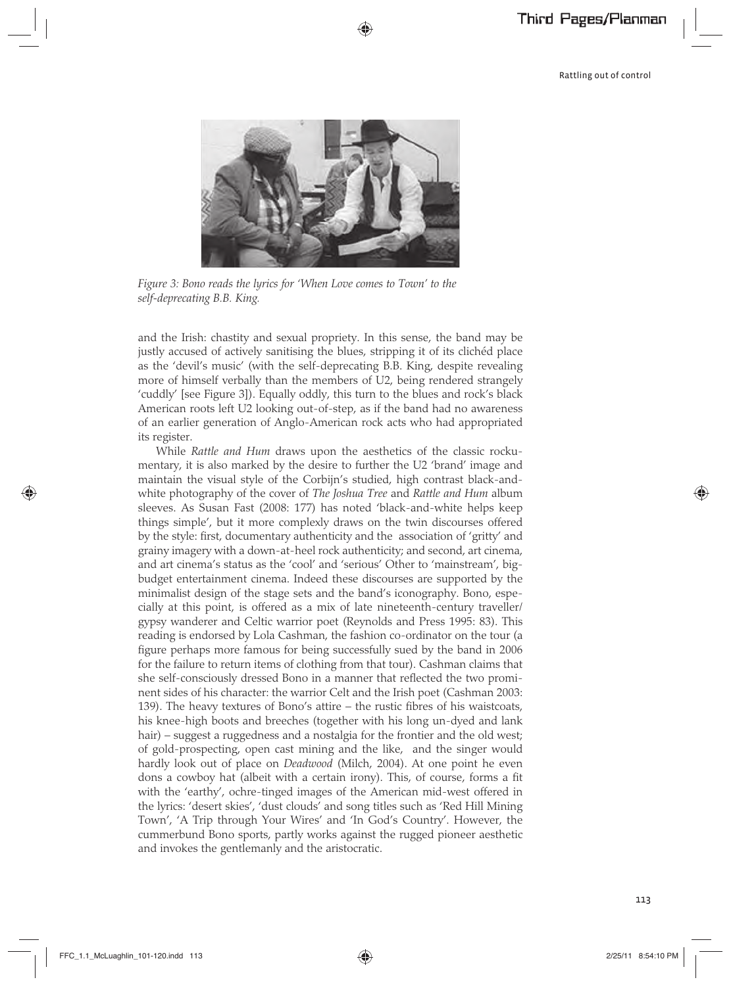

*Figure 3: Bono reads the lyrics for 'When Love comes to Town' to the self-deprecating B.B. King.*

and the Irish: chastity and sexual propriety. In this sense, the band may be justly accused of actively sanitising the blues, stripping it of its clichéd place as the 'devil's music' (with the self-deprecating B.B. King, despite revealing more of himself verbally than the members of U2, being rendered strangely 'cuddly' [see Figure 3]). Equally oddly, this turn to the blues and rock's black American roots left U2 looking out-of-step, as if the band had no awareness of an earlier generation of Anglo-American rock acts who had appropriated its register.

While *Rattle and Hum* draws upon the aesthetics of the classic rockumentary, it is also marked by the desire to further the U2 'brand' image and maintain the visual style of the Corbijn's studied, high contrast black-andwhite photography of the cover of *The Joshua Tree* and *Rattle and Hum* album sleeves. As Susan Fast (2008: 177) has noted 'black-and-white helps keep things simple', but it more complexly draws on the twin discourses offered by the style: first, documentary authenticity and the association of 'gritty' and grainy imagery with a down-at-heel rock authenticity; and second, art cinema, and art cinema's status as the 'cool' and 'serious' Other to 'mainstream', bigbudget entertainment cinema. Indeed these discourses are supported by the minimalist design of the stage sets and the band's iconography. Bono, especially at this point, is offered as a mix of late nineteenth-century traveller/ gypsy wanderer and Celtic warrior poet (Reynolds and Press 1995: 83). This reading is endorsed by Lola Cashman, the fashion co-ordinator on the tour (a figure perhaps more famous for being successfully sued by the band in 2006 for the failure to return items of clothing from that tour). Cashman claims that she self-consciously dressed Bono in a manner that reflected the two prominent sides of his character: the warrior Celt and the Irish poet (Cashman 2003: 139). The heavy textures of Bono's attire – the rustic fibres of his waistcoats, his knee-high boots and breeches (together with his long un-dyed and lank hair) – suggest a ruggedness and a nostalgia for the frontier and the old west; of gold-prospecting, open cast mining and the like, and the singer would hardly look out of place on *Deadwood* (Milch, 2004). At one point he even dons a cowboy hat (albeit with a certain irony). This, of course, forms a fit with the 'earthy', ochre-tinged images of the American mid-west offered in the lyrics: 'desert skies', 'dust clouds' and song titles such as 'Red Hill Mining Town', 'A Trip through Your Wires' and 'In God's Country'. However, the cummerbund Bono sports, partly works against the rugged pioneer aesthetic and invokes the gentlemanly and the aristocratic.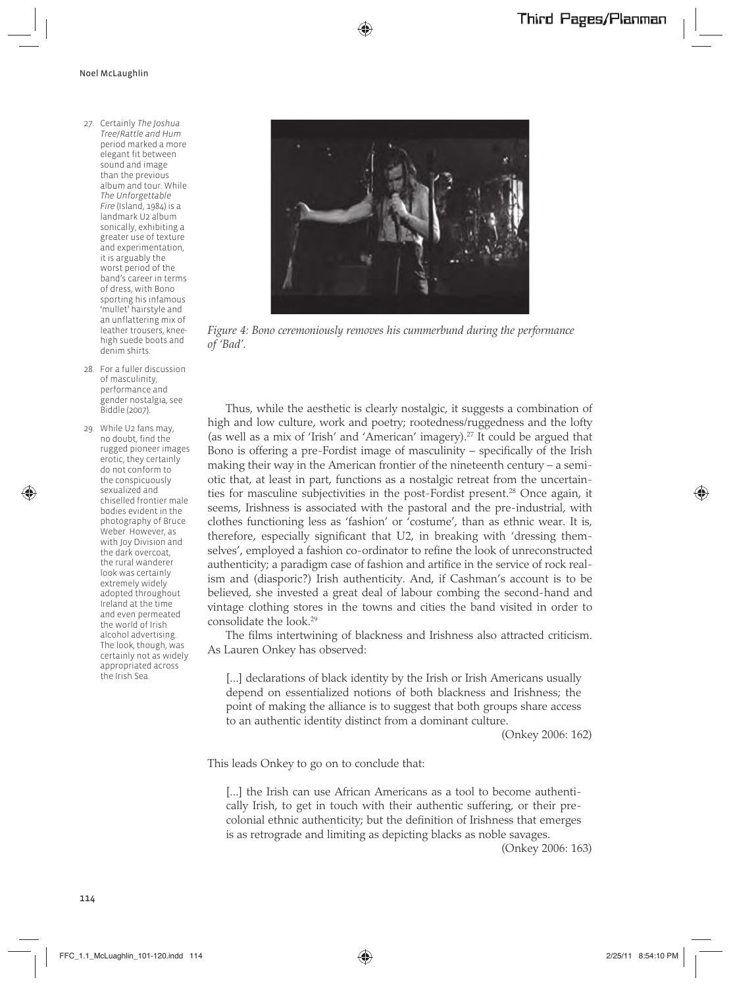- 27. Certainly *The Joshua Tree*/*Rattle and Hum*  period marked a more elegant fit between sound and image than the previous album and tour. While *The Unforgettable Fire* (Island, 1984) is a landmark U2 album sonically, exhibiting a greater use of texture and experimentation, it is arguably the worst period of the band's career in terms of dress, with Bono sporting his infamous 'mullet' hairstyle and an unflattering mix of leather trousers, kneehigh suede boots and denim shirts.
- 28. For a fuller discussion of masculinity, performance and gender nostalgia, see Biddle (2007).
- 29. While U2 fans may, no doubt, find the rugged pioneer images erotic, they certainly do not conform to the conspicuously sexualized and chiselled frontier male bodies evident in the photography of Bruce Weber. However, as with Joy Division and the dark overcoat, the rural wanderer look was certainly extremely widely adopted throughout Ireland at the time and even permeated the world of Irish alcohol advertising. The look, though, was certainly not as widely appropriated across the Irish Sea.



*Figure 4: Bono ceremoniously removes his cummerbund during the performance of 'Bad'.*

Thus, while the aesthetic is clearly nostalgic, it suggests a combination of high and low culture, work and poetry; rootedness/ruggedness and the lofty (as well as a mix of 'Irish' and 'American' imagery).27 It could be argued that Bono is offering a pre-Fordist image of masculinity – specifically of the Irish making their way in the American frontier of the nineteenth century – a semiotic that, at least in part, functions as a nostalgic retreat from the uncertainties for masculine subjectivities in the post-Fordist present.<sup>28</sup> Once again, it seems, Irishness is associated with the pastoral and the pre-industrial, with clothes functioning less as 'fashion' or 'costume', than as ethnic wear. It is, therefore, especially significant that U2, in breaking with 'dressing themselves', employed a fashion co-ordinator to refine the look of unreconstructed authenticity; a paradigm case of fashion and artifice in the service of rock realism and (diasporic?) Irish authenticity. And, if Cashman's account is to be believed, she invested a great deal of labour combing the second-hand and vintage clothing stores in the towns and cities the band visited in order to consolidate the look.29

The films intertwining of blackness and Irishness also attracted criticism. As Lauren Onkey has observed:

[...] declarations of black identity by the Irish or Irish Americans usually depend on essentialized notions of both blackness and Irishness; the point of making the alliance is to suggest that both groups share access to an authentic identity distinct from a dominant culture.

(Onkey 2006: 162)

This leads Onkey to go on to conclude that:

[...] the Irish can use African Americans as a tool to become authentically Irish, to get in touch with their authentic suffering, or their precolonial ethnic authenticity; but the definition of Irishness that emerges is as retrograde and limiting as depicting blacks as noble savages.

(Onkey 2006: 163)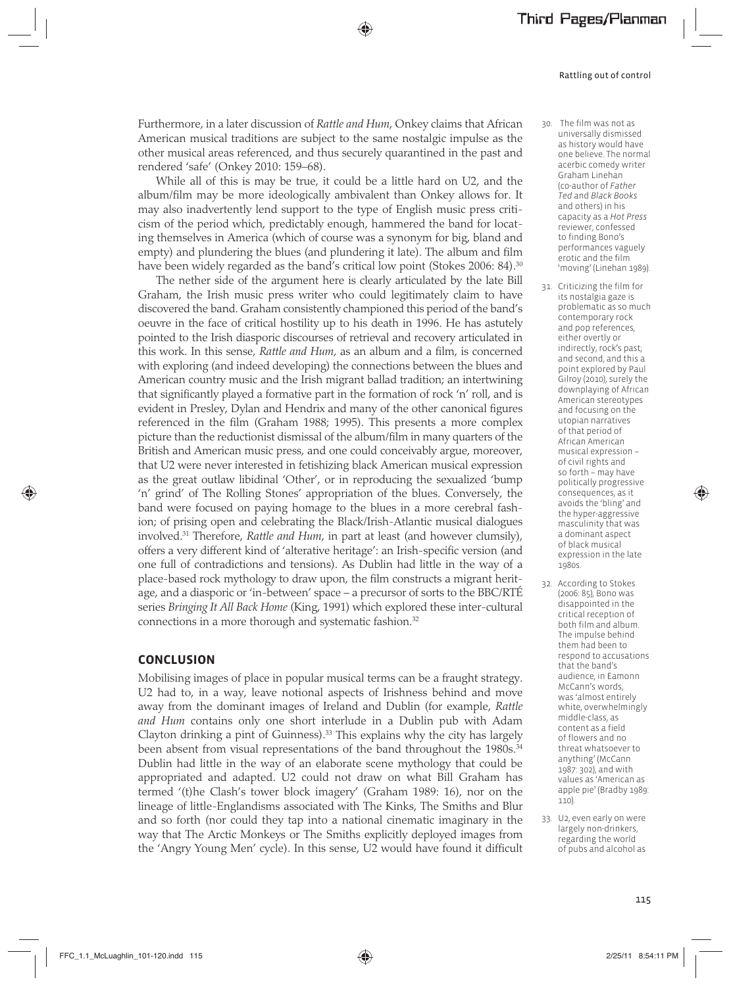Furthermore, in a later discussion of *Rattle and Hum*, Onkey claims that African American musical traditions are subject to the same nostalgic impulse as the other musical areas referenced, and thus securely quarantined in the past and rendered 'safe' (Onkey 2010: 159–68).

While all of this is may be true, it could be a little hard on U2, and the album/film may be more ideologically ambivalent than Onkey allows for. It may also inadvertently lend support to the type of English music press criticism of the period which, predictably enough, hammered the band for locating themselves in America (which of course was a synonym for big, bland and empty) and plundering the blues (and plundering it late). The album and film have been widely regarded as the band's critical low point (Stokes 2006: 84).<sup>30</sup>

The nether side of the argument here is clearly articulated by the late Bill Graham, the Irish music press writer who could legitimately claim to have discovered the band. Graham consistently championed this period of the band's oeuvre in the face of critical hostility up to his death in 1996. He has astutely pointed to the Irish diasporic discourses of retrieval and recovery articulated in this work. In this sense, *Rattle and Hum*, as an album and a film, is concerned with exploring (and indeed developing) the connections between the blues and American country music and the Irish migrant ballad tradition; an intertwining that significantly played a formative part in the formation of rock 'n' roll, and is evident in Presley, Dylan and Hendrix and many of the other canonical figures referenced in the film (Graham 1988; 1995). This presents a more complex picture than the reductionist dismissal of the album/film in many quarters of the British and American music press, and one could conceivably argue, moreover, that U2 were never interested in fetishizing black American musical expression as the great outlaw libidinal 'Other', or in reproducing the sexualized 'bump 'n' grind' of The Rolling Stones' appropriation of the blues. Conversely, the band were focused on paying homage to the blues in a more cerebral fashion; of prising open and celebrating the Black/Irish-Atlantic musical dialogues involved.31 Therefore, *Rattle and Hum*, in part at least (and however clumsily), offers a very different kind of 'alterative heritage': an Irish-specific version (and one full of contradictions and tensions). As Dublin had little in the way of a place-based rock mythology to draw upon, the film constructs a migrant heritage, and a diasporic or 'in-between' space – a precursor of sorts to the BBC/RTÉ series *Bringing It All Back Home* (King, 1991) which explored these inter-cultural connections in a more thorough and systematic fashion.<sup>32</sup>

#### **CONCLUSION**

Mobilising images of place in popular musical terms can be a fraught strategy. U2 had to, in a way, leave notional aspects of Irishness behind and move away from the dominant images of Ireland and Dublin (for example, *Rattle and Hum* contains only one short interlude in a Dublin pub with Adam Clayton drinking a pint of Guinness).33 This explains why the city has largely been absent from visual representations of the band throughout the 1980s.<sup>34</sup> Dublin had little in the way of an elaborate scene mythology that could be appropriated and adapted. U2 could not draw on what Bill Graham has termed '(t)he Clash's tower block imagery' (Graham 1989: 16), nor on the lineage of little-Englandisms associated with The Kinks, The Smiths and Blur and so forth (nor could they tap into a national cinematic imaginary in the way that The Arctic Monkeys or The Smiths explicitly deployed images from the 'Angry Young Men' cycle). In this sense, U2 would have found it difficult

- 30. The film was not as universally dismissed as history would have one believe. The normal acerbic comedy writer Graham Linehan (co-author of *Father Ted* and *Black Books*  and others) in his capacity as a *Hot Press*  reviewer, confessed to finding Bono's performances vaguely erotic and the film 'moving' (Linehan 1989).
- 31. Criticizing the film for its nostalgia gaze is problematic as so much contemporary rock and pop references, either overtly or indirectly, rock's past; and second, and this a point explored by Paul Gilroy (2010), surely the downplaying of African American stereotypes and focusing on the utopian narratives of that period of African American musical expression – of civil rights and so forth – may have politically progressive consequences, as it avoids the 'bling' and the hyper-aggressive masculinity that was a dominant aspect of black musical expression in the late 1980s.
- 32. According to Stokes (2006: 85), Bono was disappointed in the critical reception of both film and album. The impulse behind them had been to respond to accusations that the band's audience, in Eamonn McCann's words, was 'almost entirely white, overwhelmingly middle-class, as content as a field of flowers and no threat whatsoever to anything' (McCann 1987: 302), and with values as 'American as apple pie' (Bradby 1989: 110).
- 33. U2, even early on were largely non-drinkers, regarding the world of pubs and alcohol as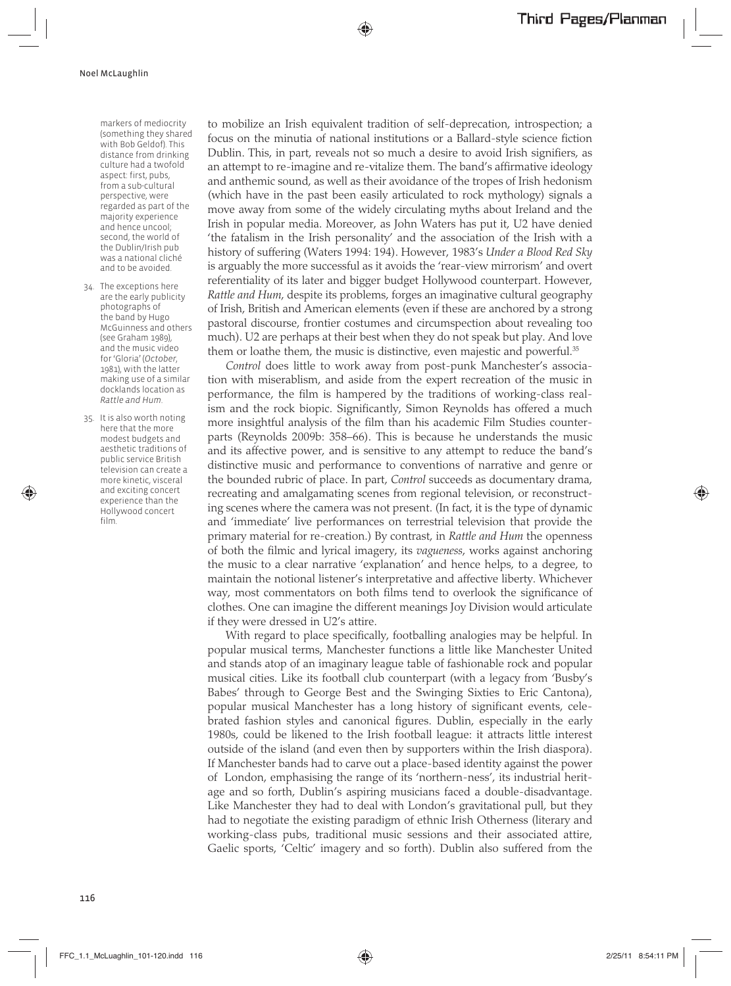markers of mediocrity (something they shared with Bob Geldof). This distance from drinking culture had a twofold aspect: first, pubs, from a sub-cultural perspective, were regarded as part of the majority experience and hence uncool; second, the world of the Dublin/Irish pub was a national cliché and to be avoided.

- 34. The exceptions here are the early publicity photographs of the band by Hugo McGuinness and others (see Graham 1989), and the music video for 'Gloria' (*October*, 1981), with the latter making use of a similar docklands location as *Rattle and Hum*.
- 35. It is also worth noting here that the more modest budgets and aesthetic traditions of public service British television can create a more kinetic, visceral and exciting concert experience than the Hollywood concert film.

to mobilize an Irish equivalent tradition of self-deprecation, introspection; a focus on the minutia of national institutions or a Ballard-style science fiction Dublin. This, in part, reveals not so much a desire to avoid Irish signifiers, as an attempt to re-imagine and re-vitalize them. The band's affirmative ideology and anthemic sound, as well as their avoidance of the tropes of Irish hedonism (which have in the past been easily articulated to rock mythology) signals a move away from some of the widely circulating myths about Ireland and the Irish in popular media. Moreover, as John Waters has put it, U2 have denied 'the fatalism in the Irish personality' and the association of the Irish with a history of suffering (Waters 1994: 194). However, 1983's *Under a Blood Red Sky* is arguably the more successful as it avoids the 'rear-view mirrorism' and overt referentiality of its later and bigger budget Hollywood counterpart. However, *Rattle and Hum*, despite its problems, forges an imaginative cultural geography of Irish, British and American elements (even if these are anchored by a strong pastoral discourse, frontier costumes and circumspection about revealing too much). U2 are perhaps at their best when they do not speak but play. And love them or loathe them, the music is distinctive, even majestic and powerful.<sup>35</sup>

*Control* does little to work away from post-punk Manchester's association with miserablism, and aside from the expert recreation of the music in performance, the film is hampered by the traditions of working-class realism and the rock biopic. Significantly, Simon Reynolds has offered a much more insightful analysis of the film than his academic Film Studies counterparts (Reynolds 2009b: 358–66). This is because he understands the music and its affective power, and is sensitive to any attempt to reduce the band's distinctive music and performance to conventions of narrative and genre or the bounded rubric of place. In part, *Control* succeeds as documentary drama, recreating and amalgamating scenes from regional television, or reconstructing scenes where the camera was not present. (In fact, it is the type of dynamic and 'immediate' live performances on terrestrial television that provide the primary material for re-creation.) By contrast, in *Rattle and Hum* the openness of both the filmic and lyrical imagery, its *vagueness*, works against anchoring the music to a clear narrative 'explanation' and hence helps, to a degree, to maintain the notional listener's interpretative and affective liberty. Whichever way, most commentators on both films tend to overlook the significance of clothes. One can imagine the different meanings Joy Division would articulate if they were dressed in U2's attire.

With regard to place specifically, footballing analogies may be helpful. In popular musical terms, Manchester functions a little like Manchester United and stands atop of an imaginary league table of fashionable rock and popular musical cities. Like its football club counterpart (with a legacy from 'Busby's Babes' through to George Best and the Swinging Sixties to Eric Cantona), popular musical Manchester has a long history of significant events, celebrated fashion styles and canonical figures. Dublin, especially in the early 1980s, could be likened to the Irish football league: it attracts little interest outside of the island (and even then by supporters within the Irish diaspora). If Manchester bands had to carve out a place-based identity against the power of London, emphasising the range of its 'northern-ness', its industrial heritage and so forth, Dublin's aspiring musicians faced a double-disadvantage. Like Manchester they had to deal with London's gravitational pull, but they had to negotiate the existing paradigm of ethnic Irish Otherness (literary and working-class pubs, traditional music sessions and their associated attire, Gaelic sports, 'Celtic' imagery and so forth). Dublin also suffered from the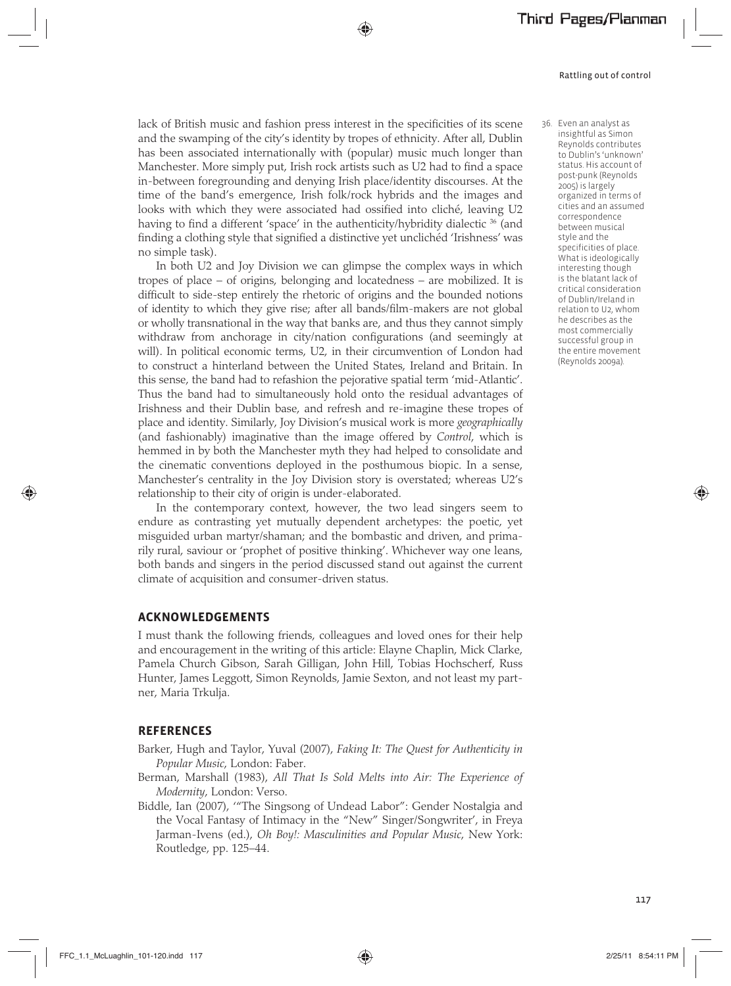lack of British music and fashion press interest in the specificities of its scene and the swamping of the city's identity by tropes of ethnicity. After all, Dublin has been associated internationally with (popular) music much longer than Manchester. More simply put, Irish rock artists such as U2 had to find a space in-between foregrounding and denying Irish place/identity discourses. At the time of the band's emergence, Irish folk/rock hybrids and the images and looks with which they were associated had ossified into cliché, leaving U2 having to find a different 'space' in the authenticity/hybridity dialectic <sup>36</sup> (and finding a clothing style that signified a distinctive yet unclichéd 'Irishness' was no simple task).

In both U2 and Joy Division we can glimpse the complex ways in which tropes of place – of origins, belonging and locatedness – are mobilized. It is difficult to side-step entirely the rhetoric of origins and the bounded notions of identity to which they give rise; after all bands/film-makers are not global or wholly transnational in the way that banks are, and thus they cannot simply withdraw from anchorage in city/nation configurations (and seemingly at will). In political economic terms, U2, in their circumvention of London had to construct a hinterland between the United States, Ireland and Britain. In this sense, the band had to refashion the pejorative spatial term 'mid-Atlantic'. Thus the band had to simultaneously hold onto the residual advantages of Irishness and their Dublin base, and refresh and re-imagine these tropes of place and identity. Similarly, Joy Division's musical work is more *geographically* (and fashionably) imaginative than the image offered by *Control*, which is hemmed in by both the Manchester myth they had helped to consolidate and the cinematic conventions deployed in the posthumous biopic. In a sense, Manchester's centrality in the Joy Division story is overstated; whereas U2's relationship to their city of origin is under-elaborated.

In the contemporary context, however, the two lead singers seem to endure as contrasting yet mutually dependent archetypes: the poetic, yet misguided urban martyr/shaman; and the bombastic and driven, and primarily rural, saviour or 'prophet of positive thinking'. Whichever way one leans, both bands and singers in the period discussed stand out against the current climate of acquisition and consumer-driven status.

#### **ACKNOWLEDGEMENTS**

I must thank the following friends, colleagues and loved ones for their help and encouragement in the writing of this article: Elayne Chaplin, Mick Clarke, Pamela Church Gibson, Sarah Gilligan, John Hill, Tobias Hochscherf, Russ Hunter, James Leggott, Simon Reynolds, Jamie Sexton, and not least my partner, Maria Trkulja.

#### **REFERENCES**

- Barker, Hugh and Taylor, Yuval (2007), *Faking It: The Quest for Authenticity in Popular Music*, London: Faber.
- Berman, Marshall (1983), *All That Is Sold Melts into Air: The Experience of Modernity*, London: Verso.
- Biddle, Ian (2007), '"The Singsong of Undead Labor": Gender Nostalgia and the Vocal Fantasy of Intimacy in the "New" Singer/Songwriter', in Freya Jarman-Ivens (ed.), *Oh Boy!: Masculinities and Popular Music*, New York: Routledge, pp. 125–44.

 36. Even an analyst as insightful as Simon Reynolds contributes to Dublin's 'unknown' status. His account of post-punk (Reynolds 2005) is largely organized in terms of cities and an assumed correspondence between musical style and the specificities of place. What is ideologically interesting though is the blatant lack of critical consideration of Dublin/Ireland in relation to U2, whom he describes as the most commercially successful group in the entire movement (Reynolds 2009a).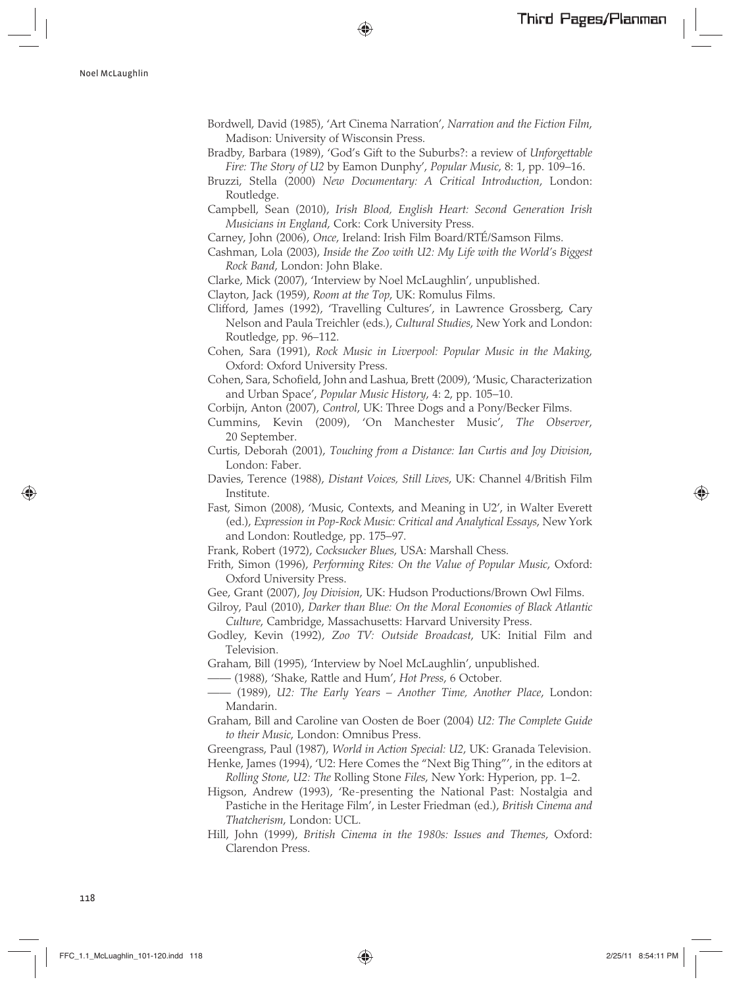- Bordwell, David (1985), 'Art Cinema Narration', *Narration and the Fiction Film*, Madison: University of Wisconsin Press.
- Bradby, Barbara (1989), 'God's Gift to the Suburbs?: a review of *Unforgettable Fire: The Story of U2* by Eamon Dunphy', *Popular Music*, 8: 1, pp. 109–16.
- Bruzzi, Stella (2000) *New Documentary: A Critical Introduction*, London: Routledge.
- Campbell, Sean (2010), *Irish Blood, English Heart: Second Generation Irish Musicians in England*, Cork: Cork University Press.
- Carney, John (2006), *Once*, Ireland: Irish Film Board/RTÉ/Samson Films.
- Cashman, Lola (2003), *Inside the Zoo with U2: My Life with the World's Biggest Rock Band*, London: John Blake.
- Clarke, Mick (2007), 'Interview by Noel McLaughlin', unpublished.
- Clayton, Jack (1959), *Room at the Top*, UK: Romulus Films.
- Clifford, James (1992), 'Travelling Cultures', in Lawrence Grossberg, Cary Nelson and Paula Treichler (eds.), *Cultural Studies*, New York and London: Routledge, pp. 96–112.
- Cohen, Sara (1991), *Rock Music in Liverpool: Popular Music in the Making*, Oxford: Oxford University Press.
- Cohen, Sara, Schofield, John and Lashua, Brett (2009), 'Music, Characterization and Urban Space', *Popular Music History*, 4: 2, pp. 105–10.
- Corbijn, Anton (2007), *Control*, UK: Three Dogs and a Pony/Becker Films.
- Cummins, Kevin (2009), 'On Manchester Music', *The Observer*, 20 September.
- Curtis, Deborah (2001), *Touching from a Distance: Ian Curtis and Joy Division*, London: Faber.
- Davies, Terence (1988), *Distant Voices, Still Lives*, UK: Channel 4/British Film Institute.
- Fast, Simon (2008), 'Music, Contexts, and Meaning in U2', in Walter Everett (ed.), *Expression in Pop-Rock Music: Critical and Analytical Essays*, New York and London: Routledge, pp. 175–97.
- Frank, Robert (1972), *Cocksucker Blues*, USA: Marshall Chess.
- Frith, Simon (1996), *Performing Rites: On the Value of Popular Music*, Oxford: Oxford University Press.
- Gee, Grant (2007), *Joy Division*, UK: Hudson Productions/Brown Owl Films.
- Gilroy, Paul (2010), *Darker than Blue: On the Moral Economies of Black Atlantic Culture*, Cambridge, Massachusetts: Harvard University Press.
- Godley, Kevin (1992), *Zoo TV: Outside Broadcast*, UK: Initial Film and Television.
- Graham, Bill (1995), 'Interview by Noel McLaughlin', unpublished.
- —— (1988), 'Shake, Rattle and Hum', *Hot Press*, 6 October.
- —— (1989), *U2: The Early Years Another Time, Another Place*, London: Mandarin.
- Graham, Bill and Caroline van Oosten de Boer (2004) *U2: The Complete Guide to their Music*, London: Omnibus Press.
- Greengrass, Paul (1987), *World in Action Special: U2*, UK: Granada Television.
- Henke, James (1994), 'U2: Here Comes the "Next Big Thing"', in the editors at *Rolling Stone*, *U2: The* Rolling Stone *Files*, New York: Hyperion, pp. 1–2.
- Higson, Andrew (1993), 'Re-presenting the National Past: Nostalgia and Pastiche in the Heritage Film', in Lester Friedman (ed.), *British Cinema and Thatcherism*, London: UCL.
- Hill, John (1999), *British Cinema in the 1980s: Issues and Themes*, Oxford: Clarendon Press.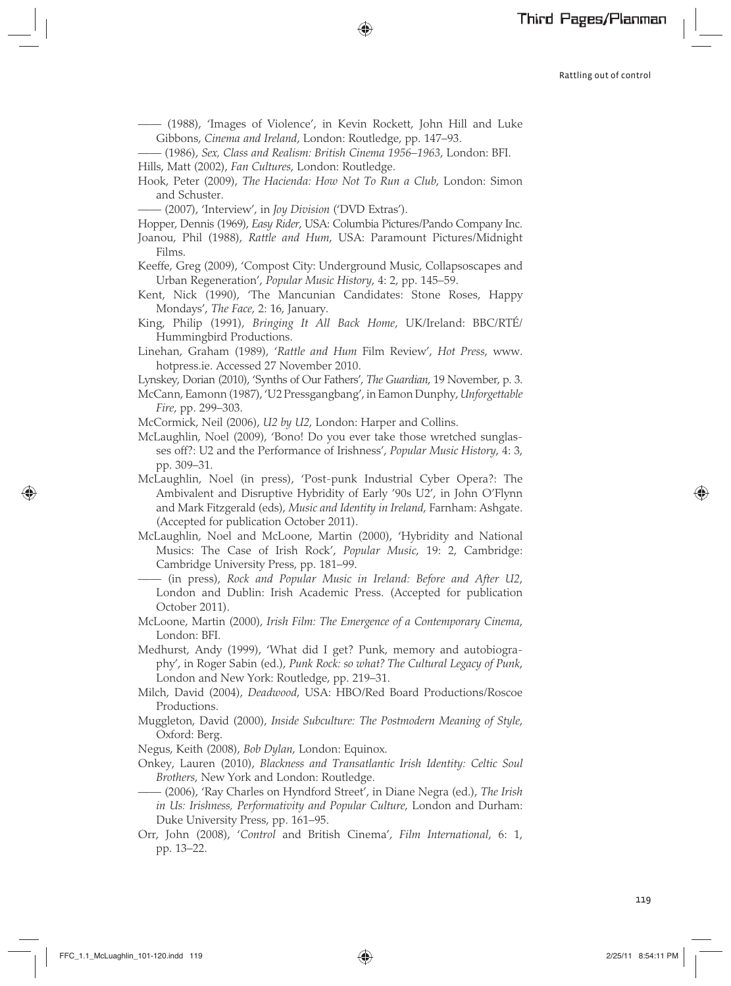—— (1988), 'Images of Violence', in Kevin Rockett, John Hill and Luke Gibbons, *Cinema and Ireland*, London: Routledge, pp. 147–93.

—— (1986), *Sex, Class and Realism: British Cinema 1956–1963*, London: BFI. Hills, Matt (2002), *Fan Cultures*, London: Routledge.

Hook, Peter (2009), *The Hacienda: How Not To Run a Club*, London: Simon and Schuster.

—— (2007), 'Interview', in *Joy Division* ('DVD Extras').

Hopper, Dennis (1969), *Easy Rider*, USA: Columbia Pictures/Pando Company Inc.

- Joanou, Phil (1988), *Rattle and Hum*, USA: Paramount Pictures/Midnight Films.
- Keeffe, Greg (2009), 'Compost City: Underground Music, Collapsoscapes and Urban Regeneration', *Popular Music History*, 4: 2, pp. 145–59.
- Kent, Nick (1990), 'The Mancunian Candidates: Stone Roses, Happy Mondays', *The Face*, 2: 16, January.
- King, Philip (1991), *Bringing It All Back Home*, UK/Ireland: BBC/RTÉ/ Hummingbird Productions.
- Linehan, Graham (1989), '*Rattle and Hum* Film Review', *Hot Press*, www. hotpress.ie. Accessed 27 November 2010.
- Lynskey, Dorian (2010), 'Synths of Our Fathers', *The Guardian*, 19 November, p. 3.
- McCann, Eamonn (1987), 'U2 Pressgangbang', in Eamon Dunphy, *Unforgettable Fire*, pp. 299–303.

McCormick, Neil (2006), *U2 by U2*, London: Harper and Collins.

- McLaughlin, Noel (2009), 'Bono! Do you ever take those wretched sunglasses off?: U2 and the Performance of Irishness', *Popular Music History*, 4: 3, pp. 309–31.
- McLaughlin, Noel (in press), 'Post-punk Industrial Cyber Opera?: The Ambivalent and Disruptive Hybridity of Early '90s U2', in John O'Flynn and Mark Fitzgerald (eds), *Music and Identity in Ireland*, Farnham: Ashgate. (Accepted for publication October 2011).
- McLaughlin, Noel and McLoone, Martin (2000), 'Hybridity and National Musics: The Case of Irish Rock', *Popular Music*, 19: 2, Cambridge: Cambridge University Press, pp. 181–99.
	- —— (in press), *Rock and Popular Music in Ireland: Before and After U2*, London and Dublin: Irish Academic Press. (Accepted for publication October 2011).
- McLoone, Martin (2000), *Irish Film: The Emergence of a Contemporary Cinema*, London: BFI.
- Medhurst, Andy (1999), 'What did I get? Punk, memory and autobiography', in Roger Sabin (ed.), *Punk Rock: so what? The Cultural Legacy of Punk*, London and New York: Routledge, pp. 219–31.
- Milch, David (2004), *Deadwood*, USA: HBO/Red Board Productions/Roscoe Productions.
- Muggleton, David (2000), *Inside Subculture: The Postmodern Meaning of Style*, Oxford: Berg.
- Negus, Keith (2008), *Bob Dylan*, London: Equinox.
- Onkey, Lauren (2010), *Blackness and Transatlantic Irish Identity: Celtic Soul Brothers*, New York and London: Routledge.
- —— (2006), 'Ray Charles on Hyndford Street', in Diane Negra (ed.), *The Irish in Us: Irishness, Performativity and Popular Culture*, London and Durham: Duke University Press, pp. 161–95.
- Orr, John (2008), '*Control* and British Cinema', *Film International*, 6: 1, pp. 13–22.